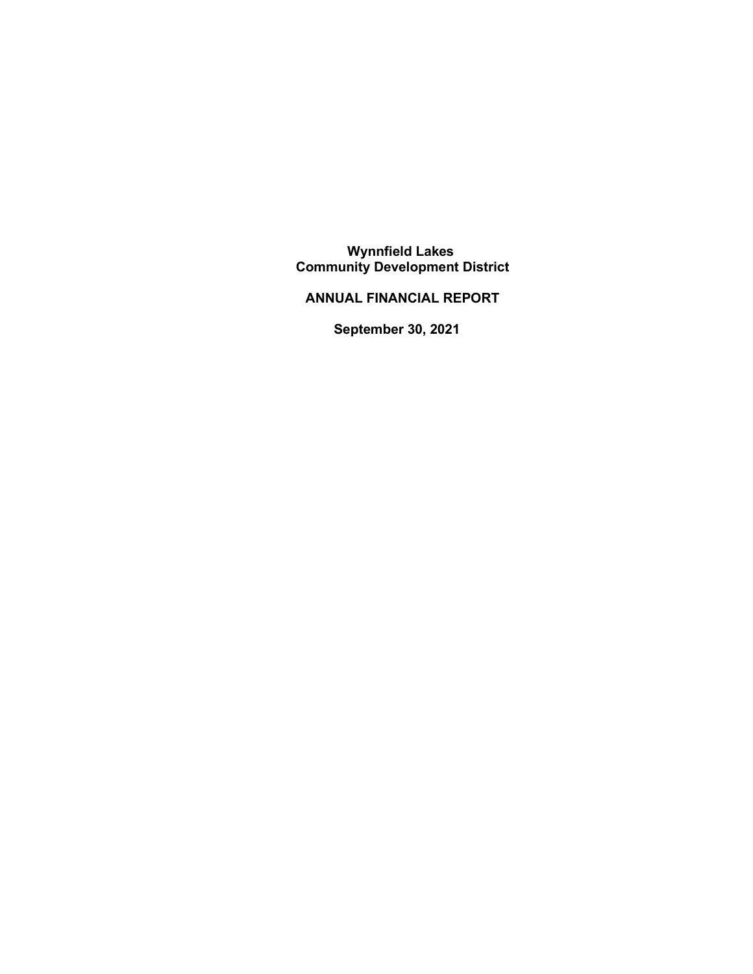**Wynnfield Lakes Community Development District**

 **ANNUAL FINANCIAL REPORT**

**September 30, 2021**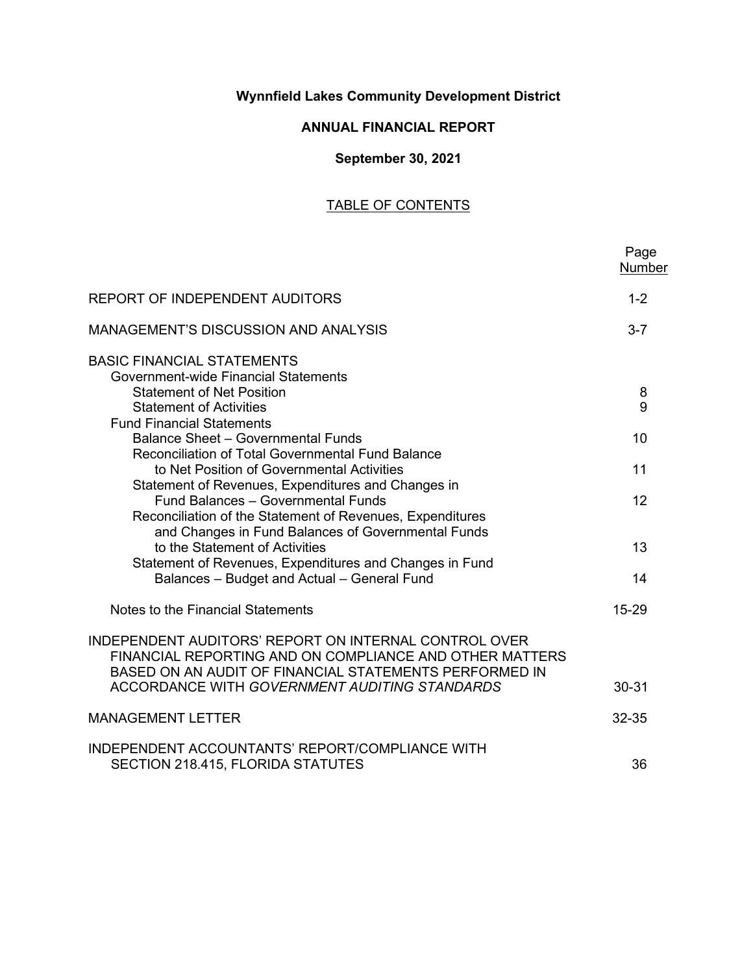## **Wynnfield Lakes Community Development District**

## **ANNUAL FINANCIAL REPORT**

## **September 30, 2021**

# TABLE OF CONTENTS

|                                                                                                | Page<br>Number |
|------------------------------------------------------------------------------------------------|----------------|
| REPORT OF INDEPENDENT AUDITORS                                                                 | $1 - 2$        |
| <b>MANAGEMENT'S DISCUSSION AND ANALYSIS</b>                                                    | $3 - 7$        |
| <b>BASIC FINANCIAL STATEMENTS</b>                                                              |                |
| Government-wide Financial Statements                                                           |                |
| <b>Statement of Net Position</b>                                                               | 8              |
| <b>Statement of Activities</b>                                                                 | 9              |
| <b>Fund Financial Statements</b>                                                               |                |
| <b>Balance Sheet - Governmental Funds</b><br>Reconciliation of Total Governmental Fund Balance | 10             |
| to Net Position of Governmental Activities                                                     | 11             |
| Statement of Revenues, Expenditures and Changes in                                             |                |
| Fund Balances - Governmental Funds                                                             | 12             |
| Reconciliation of the Statement of Revenues, Expenditures                                      |                |
| and Changes in Fund Balances of Governmental Funds                                             |                |
| to the Statement of Activities                                                                 | 13             |
| Statement of Revenues, Expenditures and Changes in Fund                                        |                |
| Balances - Budget and Actual - General Fund                                                    | 14             |
|                                                                                                |                |
| Notes to the Financial Statements                                                              | 15-29          |
| <b>INDEPENDENT AUDITORS' REPORT ON INTERNAL CONTROL OVER</b>                                   |                |
| FINANCIAL REPORTING AND ON COMPLIANCE AND OTHER MATTERS                                        |                |
| BASED ON AN AUDIT OF FINANCIAL STATEMENTS PERFORMED IN                                         |                |
| <b>ACCORDANCE WITH GOVERNMENT AUDITING STANDARDS</b>                                           | 30-31          |
|                                                                                                |                |
| <b>MANAGEMENT LETTER</b>                                                                       | 32-35          |
| INDEPENDENT ACCOUNTANTS' REPORT/COMPLIANCE WITH                                                |                |
| SECTION 218.415, FLORIDA STATUTES                                                              | 36             |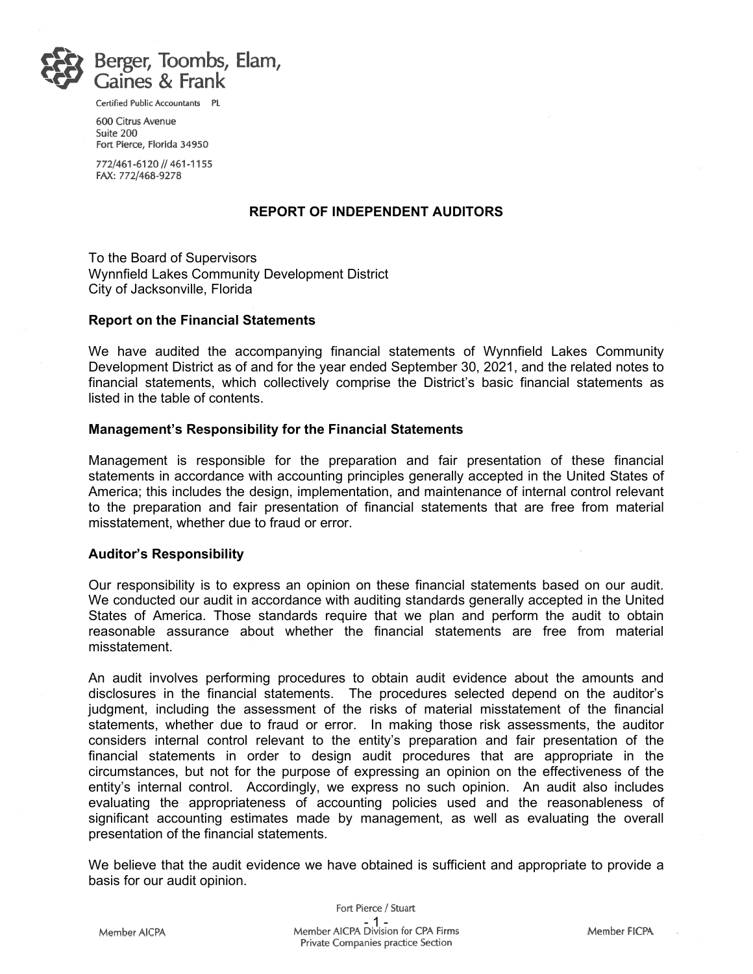

Certified Public Accountants PL

600 Citrus Avenue Suite 200 Fort Pierce, Florida 34950

772/461-6120 // 461-1155 FAX: 772/468-9278

#### **REPORT OF INDEPENDENT AUDITORS**

To the Board of Supervisors Wynnfield Lakes Community Development District City of Jacksonville, Florida

#### **Report on the Financial Statements**

We have audited the accompanying financial statements of Wynnfield Lakes Community Development District as of and for the year ended September 30, 2021, and the related notes to financial statements, which collectively comprise the District's basic financial statements as listed in the table of contents.

#### **Management's Responsibility for the Financial Statements**

Management is responsible for the preparation and fair presentation of these financial statements in accordance with accounting principles generally accepted in the United States of America; this includes the design, implementation, and maintenance of internal control relevant to the preparation and fair presentation of financial statements that are free from material misstatement, whether due to fraud or error.

#### **Auditor's Responsibility**

Our responsibility is to express an opinion on these financial statements based on our audit. We conducted our audit in accordance with auditing standards generally accepted in the United States of America. Those standards require that we plan and perform the audit to obtain reasonable assurance about whether the financial statements are free from material misstatement.

An audit involves performing procedures to obtain audit evidence about the amounts and disclosures in the financial statements. The procedures selected depend on the auditor's judgment, including the assessment of the risks of material misstatement of the financial statements, whether due to fraud or error. In making those risk assessments, the auditor considers internal control relevant to the entity's preparation and fair presentation of the financial statements in order to design audit procedures that are appropriate in the circumstances, but not for the purpose of expressing an opinion on the effectiveness of the entity's internal control. Accordingly, we express no such opinion. An audit also includes evaluating the appropriateness of accounting policies used and the reasonableness of significant accounting estimates made by management, as well as evaluating the overall presentation of the financial statements.

We believe that the audit evidence we have obtained is sufficient and appropriate to provide a basis for our audit opinion.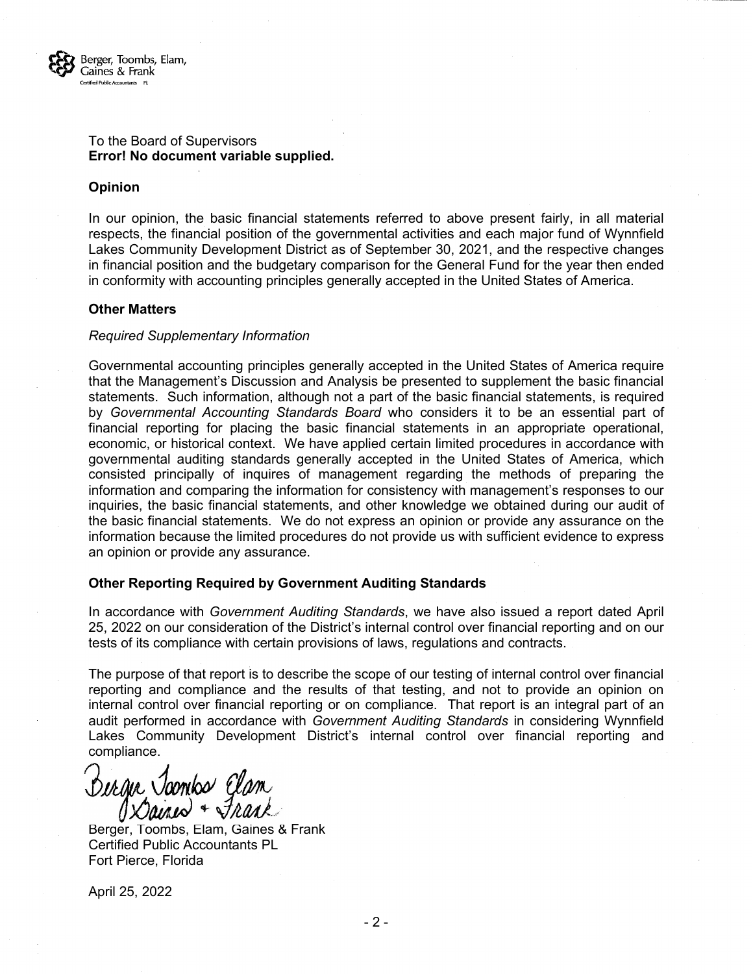

#### To the Board of Supervisors **Error! No document variable supplied.**

#### **Opinion**

In our opinion, the basic financial statements referred to above present fairly, in all material respects, the financial position of the governmental activities and each major fund of Wynnfield Lakes Community Development District as of September 30, 2021, and the respective changes in financial position and the budgetary comparison for the General Fund for the year then ended in conformity with accounting principles generally accepted in the United States of America.

#### **Other Matters**

#### *Required Supplementary Information*

Governmental accounting principles generally accepted in the United States of America require that the Management's Discussion and Analysis be presented to supplement the basic financial statements. Such information, although not a part of the basic financial statements, is required by *Governmental Accounting Standards Board* who considers it to be an essential part of financial reporting for placing the basic financial statements in an appropriate operational, economic, or historical context. We have applied certain limited procedures in accordance with governmental auditing standards generally accepted in the United States of America, which consisted principally of inquires of management regarding the methods of preparing the information and comparing the information for consistency with management's responses to our inquiries, the basic financial statements, and other knowledge we obtained during our audit of the basic financial statements. We do not express an opinion or provide any assurance on the information because the limited procedures do not provide us with sufficient evidence to express an opinion or provide any assurance.

#### **Other Reporting Required by Government Auditing Standards**

In accordance with *Government Auditing Standards*, we have also issued a report dated April 25, 2022 on our consideration of the District's internal control over financial reporting and on our tests of its compliance with certain provisions of laws, regulations and contracts.

The purpose of that report is to describe the scope of our testing of internal control over financial reporting and compliance and the results of that testing, and not to provide an opinion on internal control over financial reporting or on compliance. That report is an integral part of an audit performed in accordance with *Government Auditing Standards* in considering Wynnfield Lakes Community Development District's internal control over financial reporting and compliance.

Berger Joonbo Elan

Berger, Toombs, Elam, Gaines & Frank Certified Public Accountants PL Fort Pierce, Florida

April 25, 2022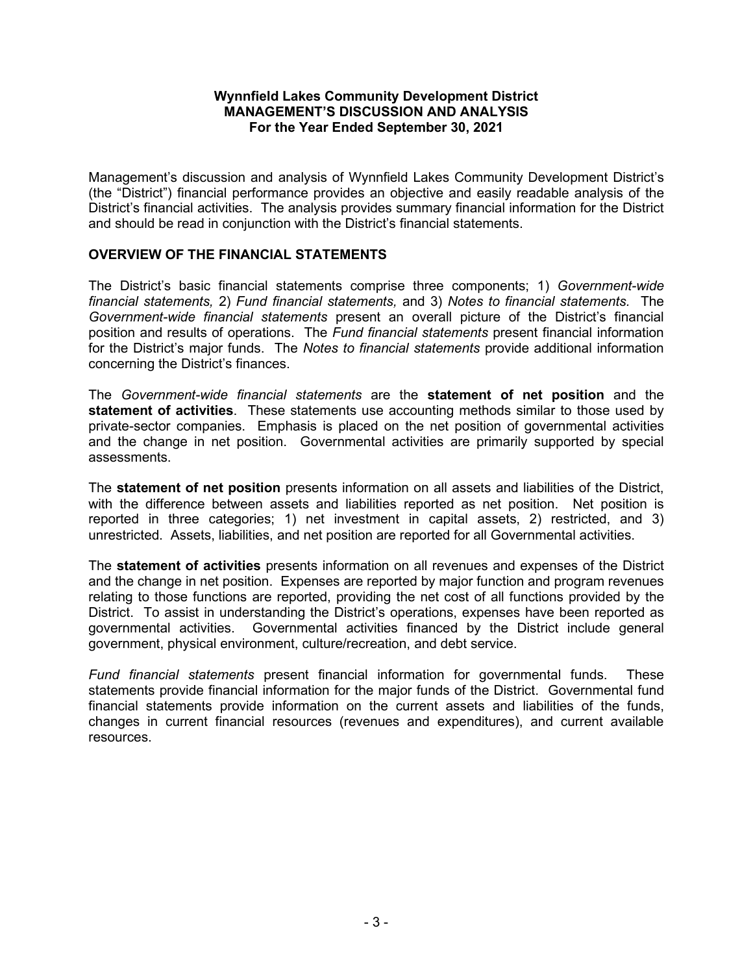Management's discussion and analysis of Wynnfield Lakes Community Development District's (the "District") financial performance provides an objective and easily readable analysis of the District's financial activities. The analysis provides summary financial information for the District and should be read in conjunction with the District's financial statements.

## **OVERVIEW OF THE FINANCIAL STATEMENTS**

The District's basic financial statements comprise three components; 1) *Government-wide financial statements,* 2) *Fund financial statements,* and 3) *Notes to financial statements.* The *Government-wide financial statements* present an overall picture of the District's financial position and results of operations. The *Fund financial statements* present financial information for the District's major funds. The *Notes to financial statements* provide additional information concerning the District's finances.

The *Government-wide financial statements* are the **statement of net position** and the **statement of activities**. These statements use accounting methods similar to those used by private-sector companies. Emphasis is placed on the net position of governmental activities and the change in net position. Governmental activities are primarily supported by special assessments.

The **statement of net position** presents information on all assets and liabilities of the District, with the difference between assets and liabilities reported as net position. Net position is reported in three categories; 1) net investment in capital assets, 2) restricted, and 3) unrestricted. Assets, liabilities, and net position are reported for all Governmental activities.

The **statement of activities** presents information on all revenues and expenses of the District and the change in net position. Expenses are reported by major function and program revenues relating to those functions are reported, providing the net cost of all functions provided by the District. To assist in understanding the District's operations, expenses have been reported as governmental activities. Governmental activities financed by the District include general government, physical environment, culture/recreation, and debt service.

*Fund financial statements* present financial information for governmental funds. These statements provide financial information for the major funds of the District. Governmental fund financial statements provide information on the current assets and liabilities of the funds, changes in current financial resources (revenues and expenditures), and current available resources.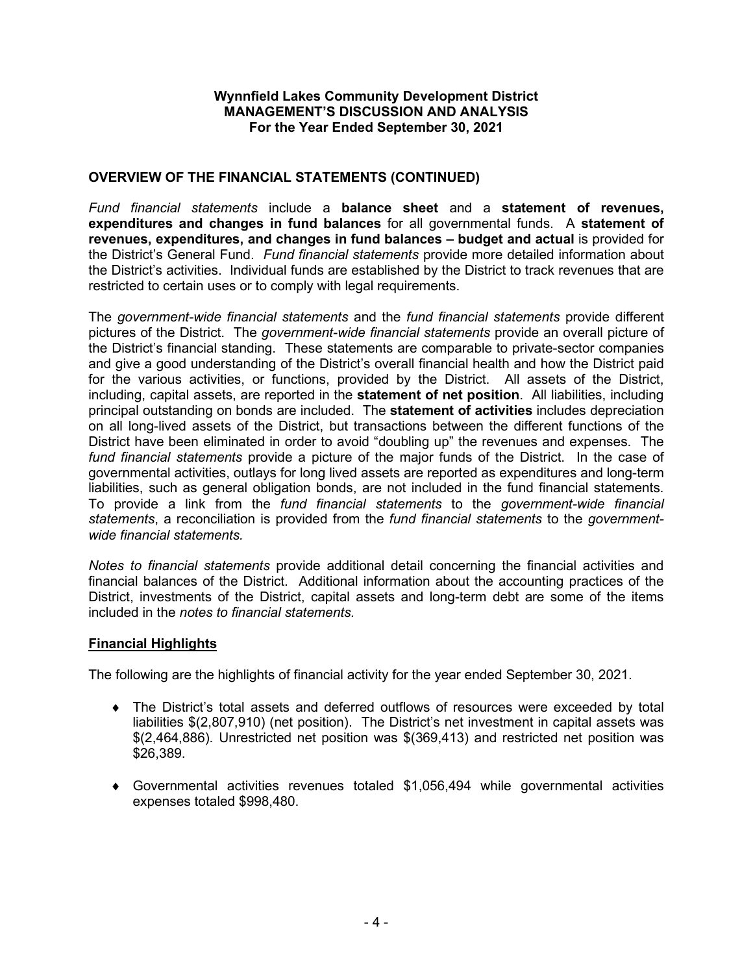## **OVERVIEW OF THE FINANCIAL STATEMENTS (CONTINUED)**

*Fund financial statements* include a **balance sheet** and a **statement of revenues, expenditures and changes in fund balances** for all governmental funds. A **statement of revenues, expenditures, and changes in fund balances – budget and actual** is provided for the District's General Fund. *Fund financial statements* provide more detailed information about the District's activities. Individual funds are established by the District to track revenues that are restricted to certain uses or to comply with legal requirements.

The *government-wide financial statements* and the *fund financial statements* provide different pictures of the District. The *government-wide financial statements* provide an overall picture of the District's financial standing. These statements are comparable to private-sector companies and give a good understanding of the District's overall financial health and how the District paid for the various activities, or functions, provided by the District. All assets of the District, including, capital assets, are reported in the **statement of net position**. All liabilities, including principal outstanding on bonds are included. The **statement of activities** includes depreciation on all long-lived assets of the District, but transactions between the different functions of the District have been eliminated in order to avoid "doubling up" the revenues and expenses. The *fund financial statements* provide a picture of the major funds of the District. In the case of governmental activities, outlays for long lived assets are reported as expenditures and long-term liabilities, such as general obligation bonds, are not included in the fund financial statements. To provide a link from the *fund financial statements* to the *government-wide financial statements*, a reconciliation is provided from the *fund financial statements* to the *governmentwide financial statements.*

*Notes to financial statements* provide additional detail concerning the financial activities and financial balances of the District. Additional information about the accounting practices of the District, investments of the District, capital assets and long-term debt are some of the items included in the *notes to financial statements.*

### **Financial Highlights**

The following are the highlights of financial activity for the year ended September 30, 2021.

- ♦ The District's total assets and deferred outflows of resources were exceeded by total liabilities \$(2,807,910) (net position). The District's net investment in capital assets was \$(2,464,886). Unrestricted net position was \$(369,413) and restricted net position was \$26,389.
- $\bullet$  Governmental activities revenues totaled \$1,056,494 while governmental activities expenses totaled \$998,480.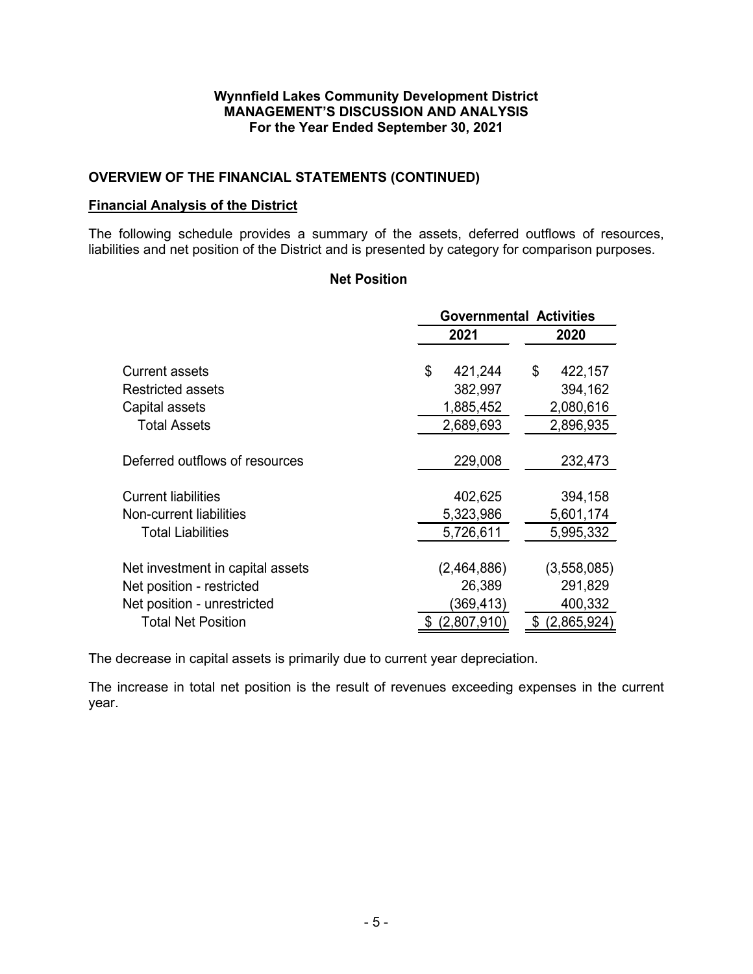## **OVERVIEW OF THE FINANCIAL STATEMENTS (CONTINUED)**

### **Financial Analysis of the District**

The following schedule provides a summary of the assets, deferred outflows of resources, liabilities and net position of the District and is presented by category for comparison purposes.

## **Net Position**

|                                  |               | <b>Governmental Activities</b> |  |  |  |  |
|----------------------------------|---------------|--------------------------------|--|--|--|--|
|                                  | 2021          | 2020                           |  |  |  |  |
| Current assets                   | \$<br>421,244 | \$<br>422,157                  |  |  |  |  |
| Restricted assets                | 382,997       | 394,162                        |  |  |  |  |
| Capital assets                   | 1,885,452     | 2,080,616                      |  |  |  |  |
| <b>Total Assets</b>              | 2,689,693     | 2,896,935                      |  |  |  |  |
| Deferred outflows of resources   | 229,008       | 232,473                        |  |  |  |  |
|                                  |               |                                |  |  |  |  |
| <b>Current liabilities</b>       | 402,625       | 394,158                        |  |  |  |  |
| Non-current liabilities          | 5,323,986     | 5,601,174                      |  |  |  |  |
| <b>Total Liabilities</b>         | 5,726,611     | 5,995,332                      |  |  |  |  |
|                                  |               |                                |  |  |  |  |
| Net investment in capital assets | (2,464,886)   | (3,558,085)                    |  |  |  |  |
| Net position - restricted        | 26,389        | 291,829                        |  |  |  |  |
| Net position - unrestricted      | (369,413)     | 400,332                        |  |  |  |  |
| <b>Total Net Position</b>        | (2,807,910)   | (2,865,924)                    |  |  |  |  |

The decrease in capital assets is primarily due to current year depreciation.

The increase in total net position is the result of revenues exceeding expenses in the current year.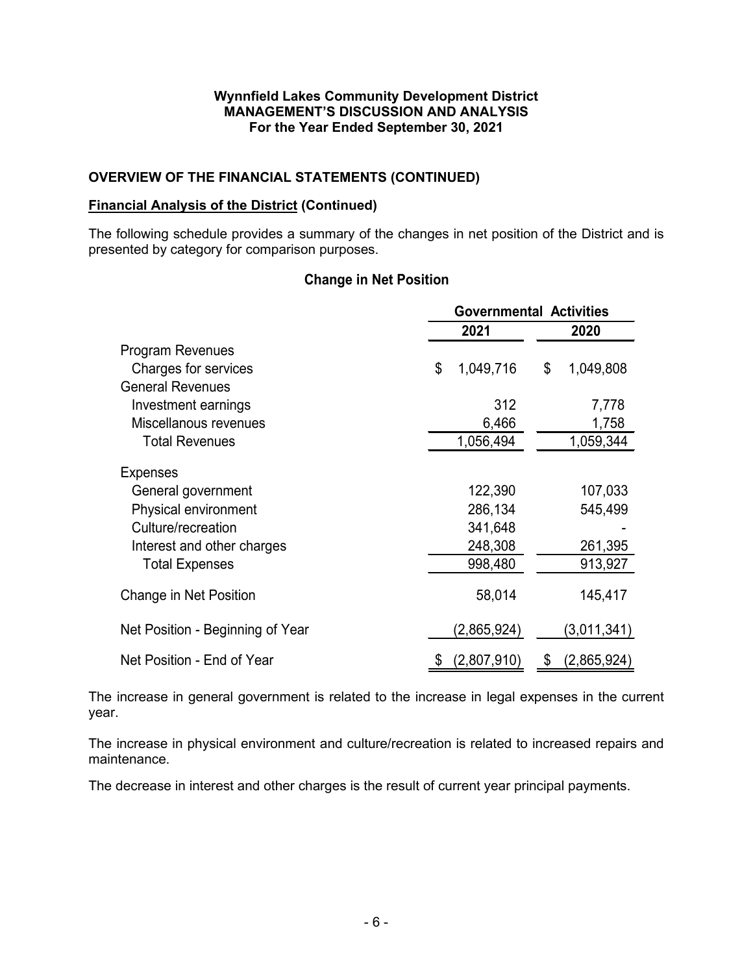## **OVERVIEW OF THE FINANCIAL STATEMENTS (CONTINUED)**

### **Financial Analysis of the District (Continued)**

The following schedule provides a summary of the changes in net position of the District and is presented by category for comparison purposes.

## **Change in Net Position**

|                                  | <b>Governmental Activities</b> |             |         |             |  |
|----------------------------------|--------------------------------|-------------|---------|-------------|--|
|                                  |                                | 2021        |         | 2020        |  |
| <b>Program Revenues</b>          |                                |             |         |             |  |
| Charges for services             | \$                             | 1,049,716   | \$      | 1,049,808   |  |
| <b>General Revenues</b>          |                                |             |         |             |  |
| Investment earnings              |                                | 312         |         | 7,778       |  |
| Miscellanous revenues            |                                | 6,466       |         | 1,758       |  |
| <b>Total Revenues</b>            | 1,056,494                      |             |         | 1,059,344   |  |
| <b>Expenses</b>                  |                                |             |         |             |  |
| General government               |                                | 122,390     |         | 107,033     |  |
| Physical environment             |                                | 286,134     |         | 545,499     |  |
| Culture/recreation               | 341,648                        |             |         |             |  |
| Interest and other charges       |                                | 248,308     | 261,395 |             |  |
| <b>Total Expenses</b>            |                                | 998,480     |         | 913,927     |  |
| Change in Net Position           |                                | 58,014      |         | 145,417     |  |
| Net Position - Beginning of Year |                                | (2,865,924) |         | (3,011,341) |  |
| Net Position - End of Year       |                                | (2,807,910) | S       | (2,865,924) |  |

The increase in general government is related to the increase in legal expenses in the current year.

The increase in physical environment and culture/recreation is related to increased repairs and maintenance.

The decrease in interest and other charges is the result of current year principal payments.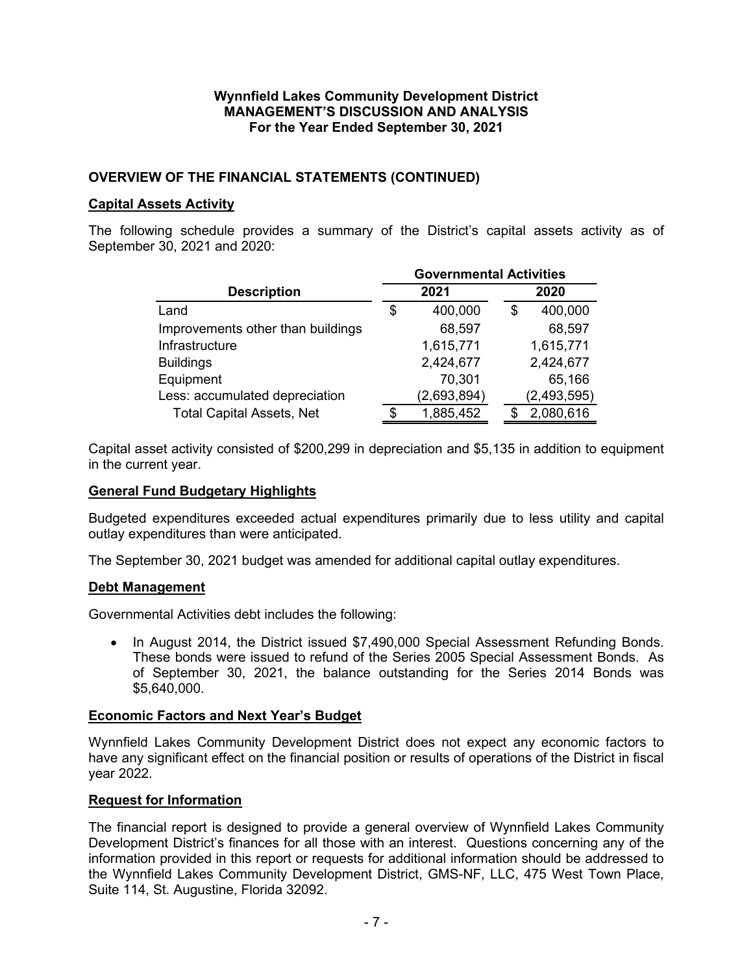## **OVERVIEW OF THE FINANCIAL STATEMENTS (CONTINUED)**

### **Capital Assets Activity**

The following schedule provides a summary of the District's capital assets activity as of September 30, 2021 and 2020:

|                                   | <b>Governmental Activities</b> |             |   |               |  |  |
|-----------------------------------|--------------------------------|-------------|---|---------------|--|--|
| <b>Description</b>                | 2021                           |             |   | 2020          |  |  |
| Land                              | \$                             | 400,000     | S | 400,000       |  |  |
| Improvements other than buildings |                                | 68,597      |   | 68,597        |  |  |
| Infrastructure                    |                                | 1,615,771   |   | 1,615,771     |  |  |
| <b>Buildings</b>                  |                                | 2,424,677   |   | 2,424,677     |  |  |
| Equipment                         |                                | 70,301      |   | 65,166        |  |  |
| Less: accumulated depreciation    |                                | (2,693,894) |   | (2, 493, 595) |  |  |
| <b>Total Capital Assets, Net</b>  | \$                             | 1,885,452   |   | 2,080,616     |  |  |

Capital asset activity consisted of \$200,299 in depreciation and \$5,135 in addition to equipment in the current year.

### **General Fund Budgetary Highlights**

Budgeted expenditures exceeded actual expenditures primarily due to less utility and capital outlay expenditures than were anticipated.

The September 30, 2021 budget was amended for additional capital outlay expenditures.

### **Debt Management**

Governmental Activities debt includes the following:

• In August 2014, the District issued \$7,490,000 Special Assessment Refunding Bonds. These bonds were issued to refund of the Series 2005 Special Assessment Bonds. As of September 30, 2021, the balance outstanding for the Series 2014 Bonds was \$5,640,000.

### **Economic Factors and Next Year's Budget**

Wynnfield Lakes Community Development District does not expect any economic factors to have any significant effect on the financial position or results of operations of the District in fiscal year 2022.

### **Request for Information**

The financial report is designed to provide a general overview of Wynnfield Lakes Community Development District's finances for all those with an interest. Questions concerning any of the information provided in this report or requests for additional information should be addressed to the Wynnfield Lakes Community Development District, GMS-NF, LLC, 475 West Town Place, Suite 114, St. Augustine, Florida 32092.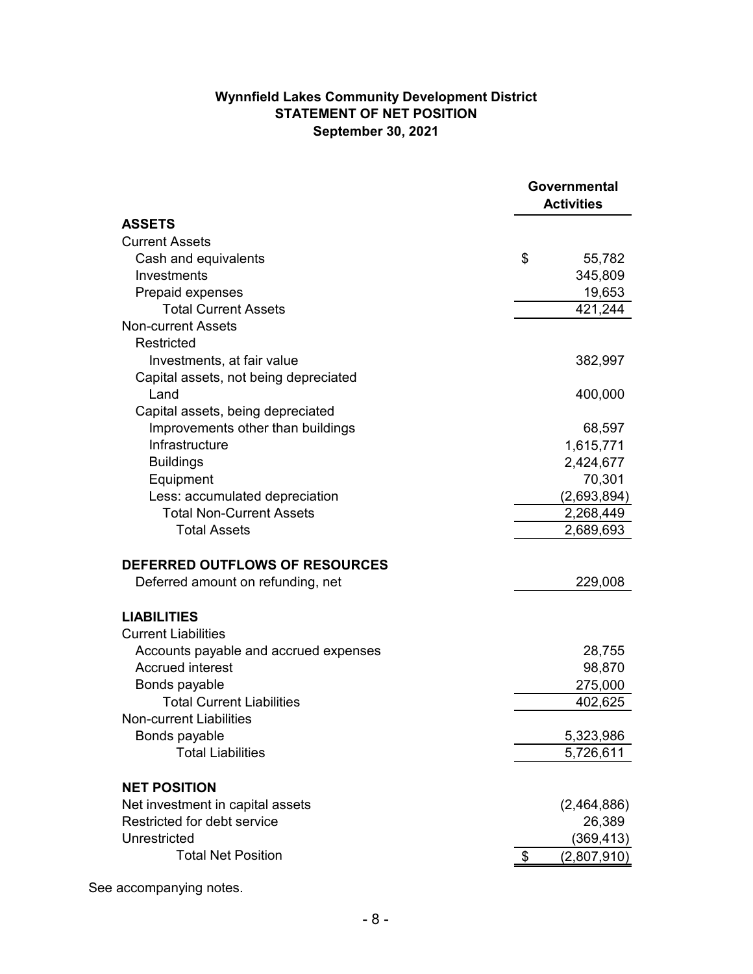## **Wynnfield Lakes Community Development District STATEMENT OF NET POSITION September 30, 2021**

|                                       | Governmental<br><b>Activities</b> |             |
|---------------------------------------|-----------------------------------|-------------|
| <b>ASSETS</b>                         |                                   |             |
| <b>Current Assets</b>                 |                                   |             |
| Cash and equivalents                  | \$                                | 55,782      |
| Investments                           |                                   | 345,809     |
| Prepaid expenses                      |                                   | 19,653      |
| <b>Total Current Assets</b>           |                                   | 421,244     |
| <b>Non-current Assets</b>             |                                   |             |
| Restricted                            |                                   |             |
| Investments, at fair value            |                                   | 382,997     |
| Capital assets, not being depreciated |                                   |             |
| Land                                  |                                   | 400,000     |
| Capital assets, being depreciated     |                                   |             |
| Improvements other than buildings     |                                   | 68,597      |
| Infrastructure                        |                                   | 1,615,771   |
| <b>Buildings</b>                      |                                   | 2,424,677   |
| Equipment                             |                                   | 70,301      |
| Less: accumulated depreciation        |                                   | (2,693,894) |
| <b>Total Non-Current Assets</b>       |                                   | 2,268,449   |
| <b>Total Assets</b>                   |                                   | 2,689,693   |
| <b>DEFERRED OUTFLOWS OF RESOURCES</b> |                                   |             |
| Deferred amount on refunding, net     |                                   | 229,008     |
| <b>LIABILITIES</b>                    |                                   |             |
| <b>Current Liabilities</b>            |                                   |             |
| Accounts payable and accrued expenses |                                   | 28,755      |
| <b>Accrued interest</b>               |                                   | 98,870      |
| Bonds payable                         |                                   | 275,000     |
| <b>Total Current Liabilities</b>      |                                   | 402,625     |
| <b>Non-current Liabilities</b>        |                                   |             |
| Bonds payable                         |                                   | 5,323,986   |
| <b>Total Liabilities</b>              |                                   | 5,726,611   |
| <b>NET POSITION</b>                   |                                   |             |
| Net investment in capital assets      |                                   | (2,464,886) |
| Restricted for debt service           |                                   | 26,389      |
| Unrestricted                          |                                   | (369, 413)  |
| <b>Total Net Position</b>             | \$                                | (2,807,910) |
|                                       |                                   |             |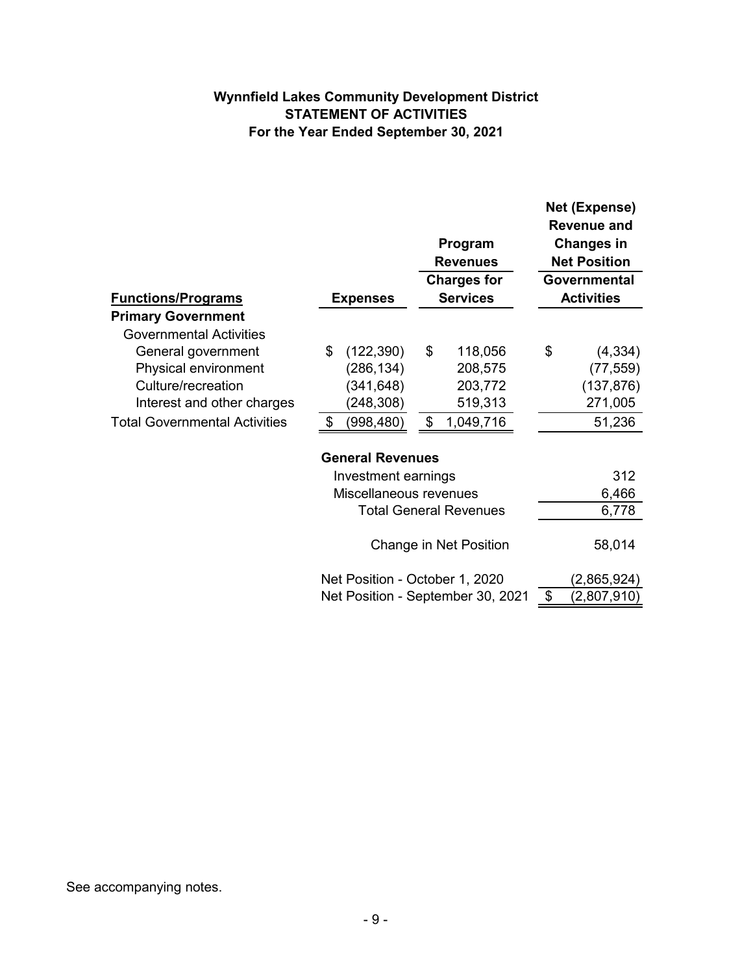## **Wynnfield Lakes Community Development District STATEMENT OF ACTIVITIES For the Year Ended September 30, 2021**

|                                      |                                | Program<br><b>Revenues</b><br><b>Charges for</b> | Net (Expense)<br>Revenue and<br><b>Changes in</b><br><b>Net Position</b><br>Governmental |
|--------------------------------------|--------------------------------|--------------------------------------------------|------------------------------------------------------------------------------------------|
| <b>Functions/Programs</b>            | <b>Expenses</b>                | <b>Services</b>                                  | <b>Activities</b>                                                                        |
| <b>Primary Government</b>            |                                |                                                  |                                                                                          |
| <b>Governmental Activities</b>       |                                |                                                  |                                                                                          |
| General government                   | (122, 390)<br>\$               | \$<br>118,056                                    | \$<br>(4, 334)                                                                           |
| Physical environment                 | (286,134)                      | 208,575                                          | (77, 559)                                                                                |
| Culture/recreation                   | (341, 648)                     | 203,772                                          | (137, 876)                                                                               |
| Interest and other charges           | (248,308)                      | 519,313                                          | 271,005                                                                                  |
| <b>Total Governmental Activities</b> | (998, 480)<br>\$               | 1,049,716<br>\$                                  | 51,236                                                                                   |
|                                      | <b>General Revenues</b>        |                                                  |                                                                                          |
|                                      | Investment earnings            |                                                  | 312                                                                                      |
|                                      | Miscellaneous revenues         |                                                  | 6,466                                                                                    |
|                                      |                                | <b>Total General Revenues</b>                    | 6,778                                                                                    |
|                                      |                                | Change in Net Position                           | 58,014                                                                                   |
|                                      | Net Position - October 1, 2020 |                                                  | (2,865,924)                                                                              |
|                                      |                                | Net Position - September 30, 2021                | \$<br>$(2,\!807,\!910)$                                                                  |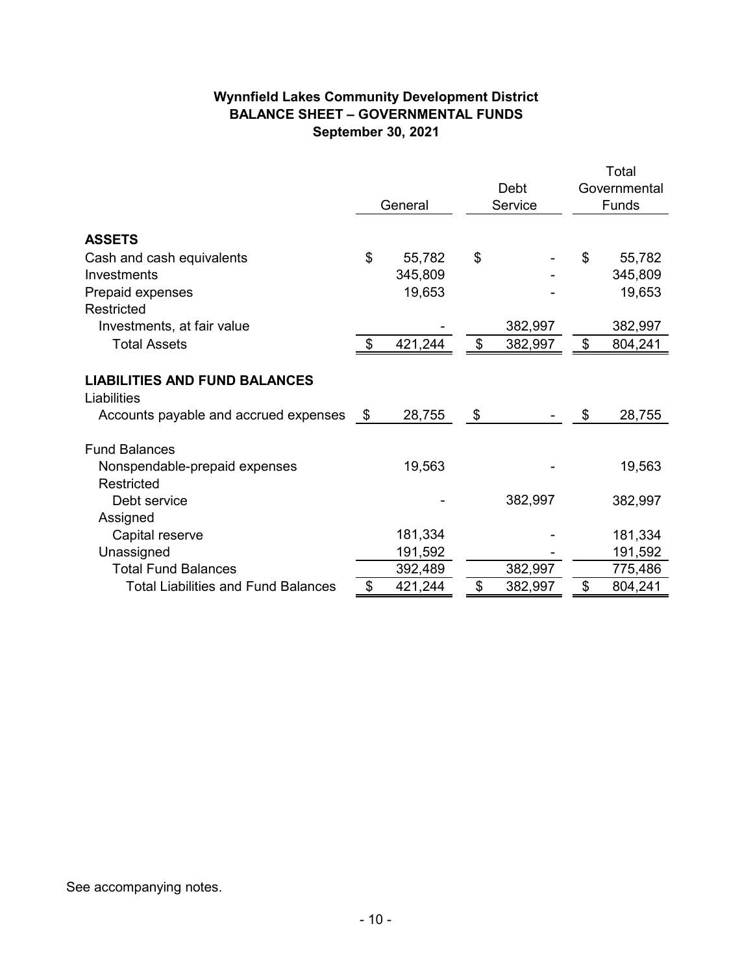## **Wynnfield Lakes Community Development District BALANCE SHEET – GOVERNMENTAL FUNDS September 30, 2021**

|                                            |         |         |               |    | Total        |
|--------------------------------------------|---------|---------|---------------|----|--------------|
|                                            |         |         | Debt          |    | Governmental |
|                                            | General |         | Service       |    | Funds        |
|                                            |         |         |               |    |              |
| <b>ASSETS</b>                              |         |         |               |    |              |
| Cash and cash equivalents                  | \$      | 55,782  | \$            | \$ | 55,782       |
| Investments                                |         | 345,809 |               |    | 345,809      |
| Prepaid expenses                           |         | 19,653  |               |    | 19,653       |
| Restricted                                 |         |         |               |    |              |
| Investments, at fair value                 |         |         | 382,997       |    | 382,997      |
| <b>Total Assets</b>                        | \$      | 421,244 | \$<br>382,997 | \$ | 804,241      |
|                                            |         |         |               |    |              |
| <b>LIABILITIES AND FUND BALANCES</b>       |         |         |               |    |              |
| Liabilities                                |         |         |               |    |              |
| Accounts payable and accrued expenses      | - \$    | 28,755  | \$            | \$ | 28,755       |
| <b>Fund Balances</b>                       |         |         |               |    |              |
| Nonspendable-prepaid expenses              |         | 19,563  |               |    | 19,563       |
| Restricted                                 |         |         |               |    |              |
| Debt service                               |         |         | 382,997       |    | 382,997      |
| Assigned                                   |         |         |               |    |              |
| Capital reserve                            |         | 181,334 |               |    | 181,334      |
| Unassigned                                 |         | 191,592 |               |    | 191,592      |
| <b>Total Fund Balances</b>                 |         | 392,489 | 382,997       |    | 775,486      |
| <b>Total Liabilities and Fund Balances</b> | \$      | 421,244 | \$<br>382,997 | \$ | 804,241      |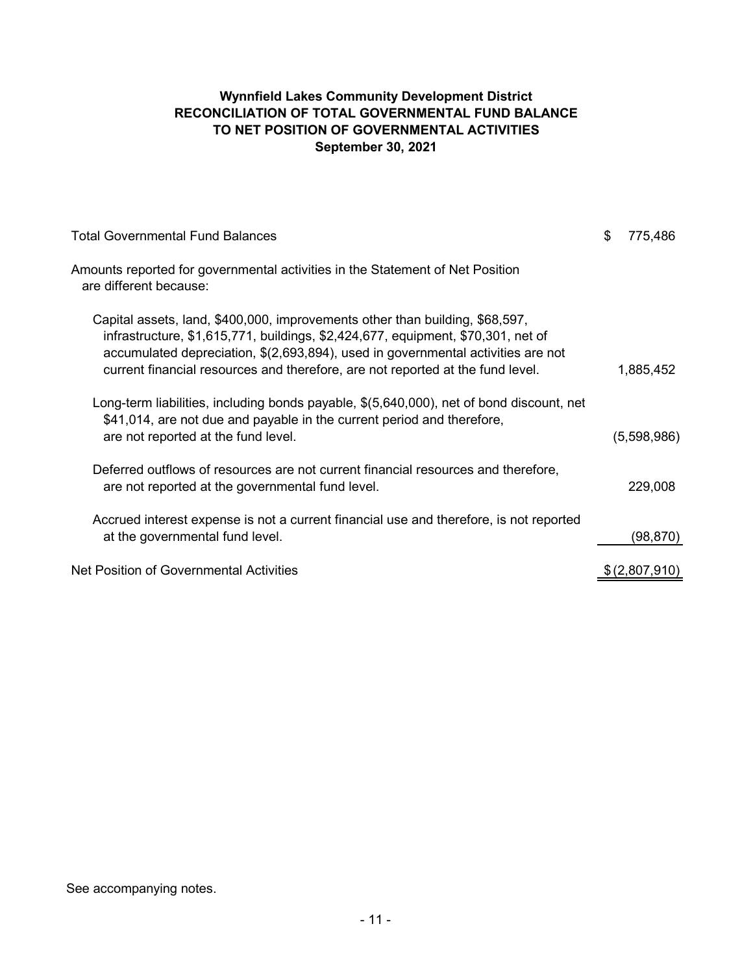## **Wynnfield Lakes Community Development District RECONCILIATION OF TOTAL GOVERNMENTAL FUND BALANCE TO NET POSITION OF GOVERNMENTAL ACTIVITIES September 30, 2021**

| <b>Total Governmental Fund Balances</b>                                                                                                                                                                                                                                                                                                | S | 775,486       |
|----------------------------------------------------------------------------------------------------------------------------------------------------------------------------------------------------------------------------------------------------------------------------------------------------------------------------------------|---|---------------|
| Amounts reported for governmental activities in the Statement of Net Position<br>are different because:                                                                                                                                                                                                                                |   |               |
| Capital assets, land, \$400,000, improvements other than building, \$68,597,<br>infrastructure, \$1,615,771, buildings, \$2,424,677, equipment, \$70,301, net of<br>accumulated depreciation, \$(2,693,894), used in governmental activities are not<br>current financial resources and therefore, are not reported at the fund level. |   | 1,885,452     |
| Long-term liabilities, including bonds payable, \$(5,640,000), net of bond discount, net<br>\$41,014, are not due and payable in the current period and therefore,<br>are not reported at the fund level.                                                                                                                              |   | (5,598,986)   |
| Deferred outflows of resources are not current financial resources and therefore,<br>are not reported at the governmental fund level.                                                                                                                                                                                                  |   | 229,008       |
| Accrued interest expense is not a current financial use and therefore, is not reported<br>at the governmental fund level.                                                                                                                                                                                                              |   | (98,870)      |
| Net Position of Governmental Activities                                                                                                                                                                                                                                                                                                |   | \$(2,807,910) |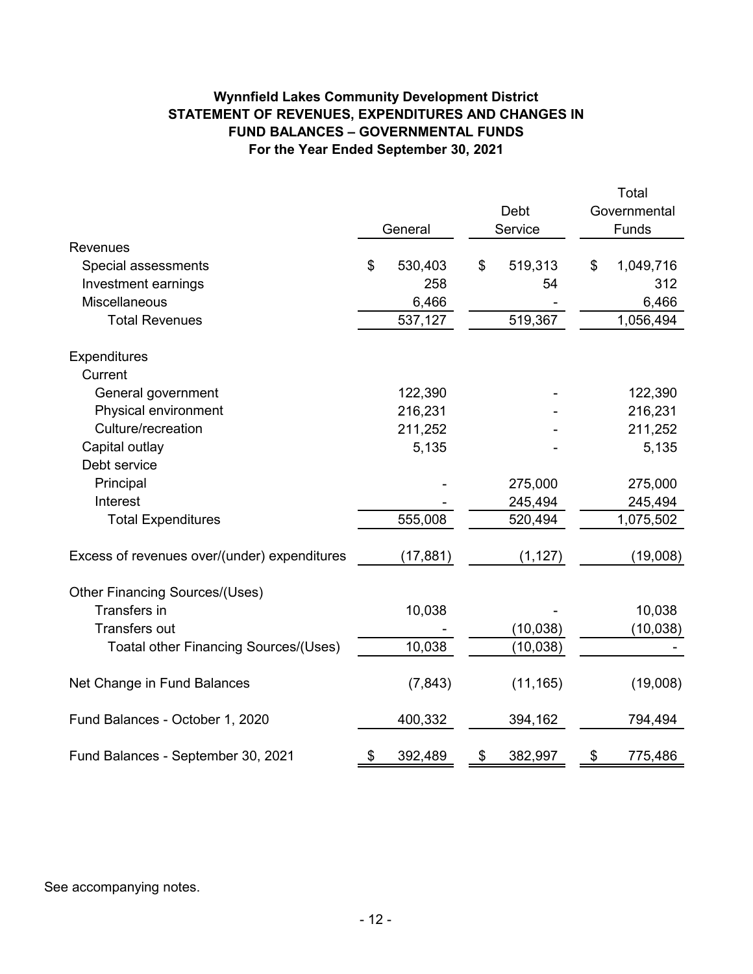## **Wynnfield Lakes Community Development District STATEMENT OF REVENUES, EXPENDITURES AND CHANGES IN FUND BALANCES – GOVERNMENTAL FUNDS For the Year Ended September 30, 2021**

|                                              |               |               |       | Total        |
|----------------------------------------------|---------------|---------------|-------|--------------|
|                                              |               | Debt          |       | Governmental |
|                                              | General       | Service       | Funds |              |
| <b>Revenues</b>                              |               |               |       |              |
| Special assessments                          | \$<br>530,403 | \$<br>519,313 | \$    | 1,049,716    |
| Investment earnings                          | 258           | 54            |       | 312          |
| Miscellaneous                                | 6,466         |               |       | 6,466        |
| <b>Total Revenues</b>                        | 537,127       | 519,367       |       | 1,056,494    |
| Expenditures                                 |               |               |       |              |
| Current                                      |               |               |       |              |
| General government                           | 122,390       |               |       | 122,390      |
| Physical environment                         | 216,231       |               |       | 216,231      |
| Culture/recreation                           | 211,252       |               |       | 211,252      |
| Capital outlay                               | 5,135         |               |       | 5,135        |
| Debt service                                 |               |               |       |              |
| Principal                                    |               | 275,000       |       | 275,000      |
| Interest                                     |               | 245,494       |       | 245,494      |
| <b>Total Expenditures</b>                    | 555,008       | 520,494       |       | 1,075,502    |
| Excess of revenues over/(under) expenditures | (17, 881)     | (1, 127)      |       | (19,008)     |
| <b>Other Financing Sources/(Uses)</b>        |               |               |       |              |
| Transfers in                                 | 10,038        |               |       | 10,038       |
| <b>Transfers out</b>                         |               | (10, 038)     |       | (10, 038)    |
| Toatal other Financing Sources/(Uses)        | 10,038        | (10, 038)     |       |              |
| Net Change in Fund Balances                  | (7, 843)      | (11, 165)     |       | (19,008)     |
| Fund Balances - October 1, 2020              | 400,332       | 394,162       |       | 794,494      |
| Fund Balances - September 30, 2021           | \$<br>392,489 | \$<br>382,997 | \$    | 775,486      |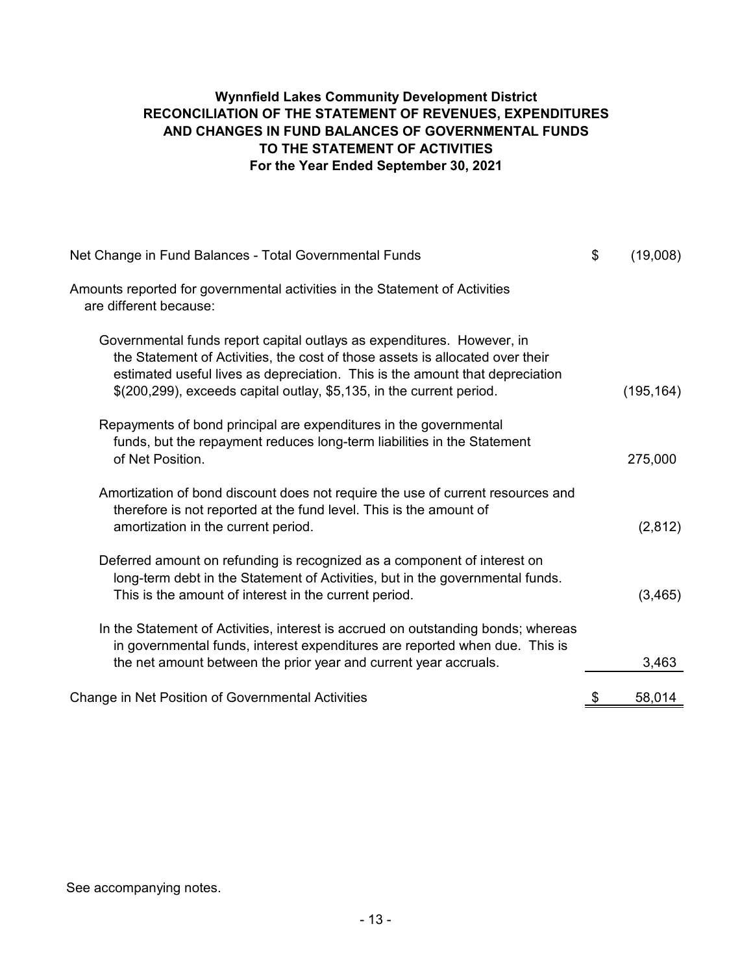## **Wynnfield Lakes Community Development District RECONCILIATION OF THE STATEMENT OF REVENUES, EXPENDITURES AND CHANGES IN FUND BALANCES OF GOVERNMENTAL FUNDS TO THE STATEMENT OF ACTIVITIES For the Year Ended September 30, 2021**

| Net Change in Fund Balances - Total Governmental Funds                                                                                                                                                                                                                                                              | \$<br>(19,008) |
|---------------------------------------------------------------------------------------------------------------------------------------------------------------------------------------------------------------------------------------------------------------------------------------------------------------------|----------------|
| Amounts reported for governmental activities in the Statement of Activities<br>are different because:                                                                                                                                                                                                               |                |
| Governmental funds report capital outlays as expenditures. However, in<br>the Statement of Activities, the cost of those assets is allocated over their<br>estimated useful lives as depreciation. This is the amount that depreciation<br>$$(200,299)$ , exceeds capital outlay, $$5,135$ , in the current period. | (195, 164)     |
| Repayments of bond principal are expenditures in the governmental<br>funds, but the repayment reduces long-term liabilities in the Statement<br>of Net Position.                                                                                                                                                    | 275,000        |
| Amortization of bond discount does not require the use of current resources and<br>therefore is not reported at the fund level. This is the amount of<br>amortization in the current period.                                                                                                                        | (2,812)        |
| Deferred amount on refunding is recognized as a component of interest on<br>long-term debt in the Statement of Activities, but in the governmental funds.<br>This is the amount of interest in the current period.                                                                                                  | (3, 465)       |
| In the Statement of Activities, interest is accrued on outstanding bonds; whereas<br>in governmental funds, interest expenditures are reported when due. This is<br>the net amount between the prior year and current year accruals.                                                                                | 3,463          |
| <b>Change in Net Position of Governmental Activities</b>                                                                                                                                                                                                                                                            | \$<br>58,014   |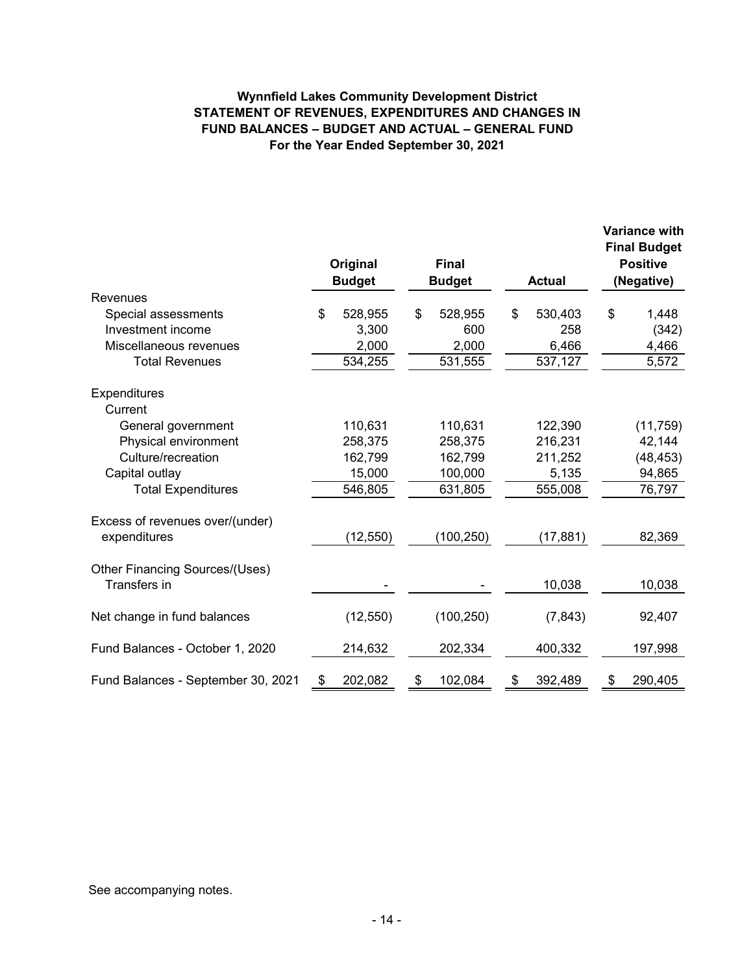## **Wynnfield Lakes Community Development District STATEMENT OF REVENUES, EXPENDITURES AND CHANGES IN FUND BALANCES – BUDGET AND ACTUAL – GENERAL FUND For the Year Ended September 30, 2021**

|                                    | Original<br><b>Budget</b> | <b>Final</b><br><b>Budget</b> | <b>Actual</b> | <b>Variance with</b><br><b>Final Budget</b><br><b>Positive</b><br>(Negative) |
|------------------------------------|---------------------------|-------------------------------|---------------|------------------------------------------------------------------------------|
| Revenues                           |                           |                               |               |                                                                              |
| Special assessments                | \$<br>528,955             | \$<br>528,955                 | \$<br>530,403 | \$<br>1,448                                                                  |
| Investment income                  | 3,300                     | 600                           | 258           | (342)                                                                        |
| Miscellaneous revenues             | 2,000                     | 2,000                         | 6,466         | 4,466                                                                        |
| <b>Total Revenues</b>              | 534,255                   | 531,555                       | 537,127       | 5,572                                                                        |
|                                    |                           |                               |               |                                                                              |
| Expenditures                       |                           |                               |               |                                                                              |
| Current                            |                           |                               |               |                                                                              |
| General government                 | 110,631                   | 110,631                       | 122,390       | (11, 759)                                                                    |
| Physical environment               | 258,375                   | 258,375                       | 216,231       | 42,144                                                                       |
| Culture/recreation                 | 162,799                   | 162,799                       | 211,252       | (48, 453)                                                                    |
| Capital outlay                     | 15,000                    | 100,000                       | 5,135         | 94,865                                                                       |
| <b>Total Expenditures</b>          | 546,805                   | 631,805                       | 555,008       | 76,797                                                                       |
| Excess of revenues over/(under)    |                           |                               |               |                                                                              |
| expenditures                       | (12, 550)                 | (100, 250)                    | (17, 881)     | 82,369                                                                       |
|                                    |                           |                               |               |                                                                              |
| Other Financing Sources/(Uses)     |                           |                               |               |                                                                              |
| Transfers in                       |                           |                               | 10,038        | 10,038                                                                       |
| Net change in fund balances        | (12, 550)                 | (100, 250)                    | (7, 843)      | 92,407                                                                       |
|                                    |                           |                               |               |                                                                              |
| Fund Balances - October 1, 2020    | 214,632                   | 202,334                       | 400,332       | 197,998                                                                      |
| Fund Balances - September 30, 2021 | \$<br>202,082             | \$<br>102,084                 | \$<br>392,489 | \$<br>290,405                                                                |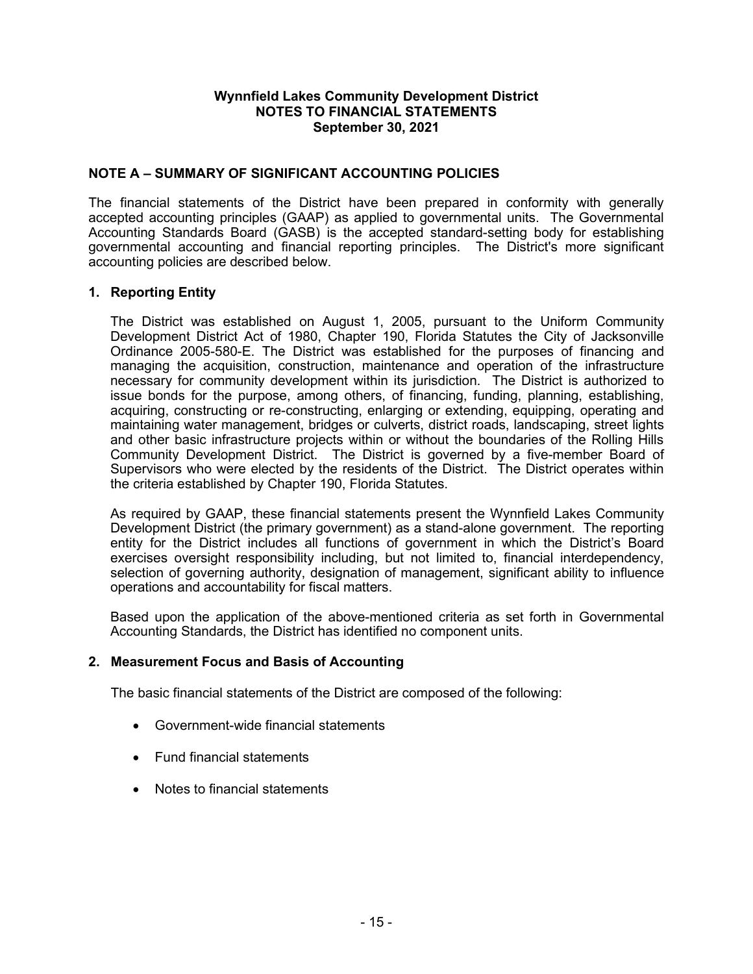## **NOTE A – SUMMARY OF SIGNIFICANT ACCOUNTING POLICIES**

The financial statements of the District have been prepared in conformity with generally accepted accounting principles (GAAP) as applied to governmental units. The Governmental Accounting Standards Board (GASB) is the accepted standard-setting body for establishing governmental accounting and financial reporting principles. The District's more significant accounting policies are described below.

### **1. Reporting Entity**

The District was established on August 1, 2005, pursuant to the Uniform Community Development District Act of 1980, Chapter 190, Florida Statutes the City of Jacksonville Ordinance 2005-580-E. The District was established for the purposes of financing and managing the acquisition, construction, maintenance and operation of the infrastructure necessary for community development within its jurisdiction. The District is authorized to issue bonds for the purpose, among others, of financing, funding, planning, establishing, acquiring, constructing or re-constructing, enlarging or extending, equipping, operating and maintaining water management, bridges or culverts, district roads, landscaping, street lights and other basic infrastructure projects within or without the boundaries of the Rolling Hills Community Development District. The District is governed by a five-member Board of Supervisors who were elected by the residents of the District. The District operates within the criteria established by Chapter 190, Florida Statutes.

As required by GAAP, these financial statements present the Wynnfield Lakes Community Development District (the primary government) as a stand-alone government. The reporting entity for the District includes all functions of government in which the District's Board exercises oversight responsibility including, but not limited to, financial interdependency, selection of governing authority, designation of management, significant ability to influence operations and accountability for fiscal matters.

Based upon the application of the above-mentioned criteria as set forth in Governmental Accounting Standards, the District has identified no component units.

### **2. Measurement Focus and Basis of Accounting**

The basic financial statements of the District are composed of the following:

- Government-wide financial statements
- Fund financial statements
- Notes to financial statements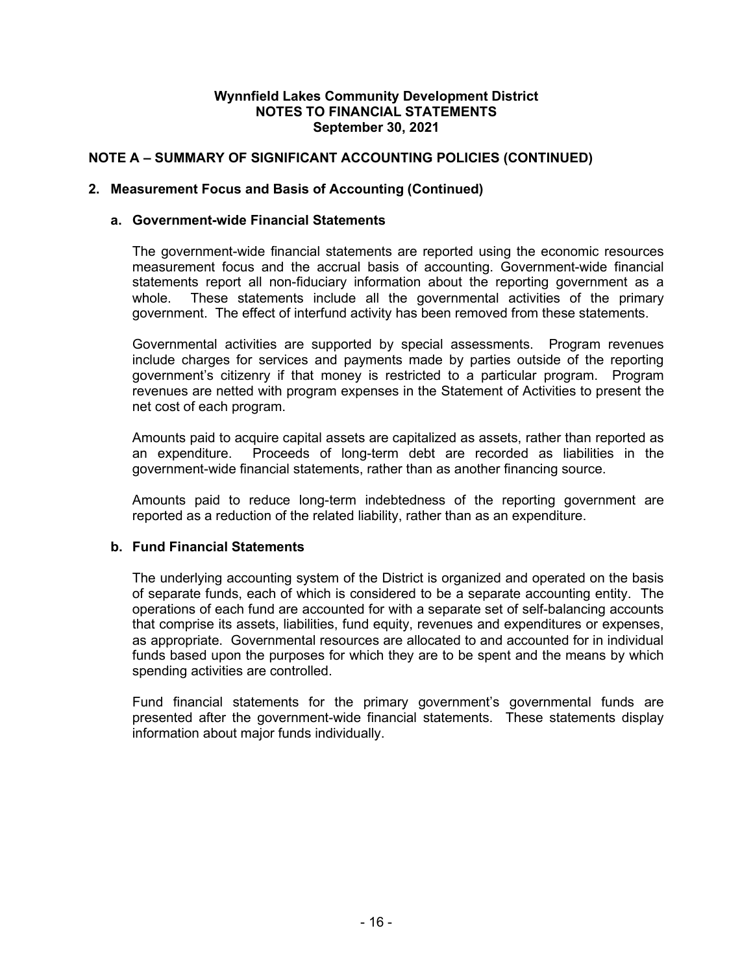## **NOTE A – SUMMARY OF SIGNIFICANT ACCOUNTING POLICIES (CONTINUED)**

### **2. Measurement Focus and Basis of Accounting (Continued)**

#### **a. Government-wide Financial Statements**

The government-wide financial statements are reported using the economic resources measurement focus and the accrual basis of accounting. Government-wide financial statements report all non-fiduciary information about the reporting government as a whole. These statements include all the governmental activities of the primary government. The effect of interfund activity has been removed from these statements.

Governmental activities are supported by special assessments. Program revenues include charges for services and payments made by parties outside of the reporting government's citizenry if that money is restricted to a particular program. Program revenues are netted with program expenses in the Statement of Activities to present the net cost of each program.

Amounts paid to acquire capital assets are capitalized as assets, rather than reported as an expenditure. Proceeds of long-term debt are recorded as liabilities in the government-wide financial statements, rather than as another financing source.

Amounts paid to reduce long-term indebtedness of the reporting government are reported as a reduction of the related liability, rather than as an expenditure.

### **b. Fund Financial Statements**

The underlying accounting system of the District is organized and operated on the basis of separate funds, each of which is considered to be a separate accounting entity. The operations of each fund are accounted for with a separate set of self-balancing accounts that comprise its assets, liabilities, fund equity, revenues and expenditures or expenses, as appropriate. Governmental resources are allocated to and accounted for in individual funds based upon the purposes for which they are to be spent and the means by which spending activities are controlled.

Fund financial statements for the primary government's governmental funds are presented after the government-wide financial statements. These statements display information about major funds individually.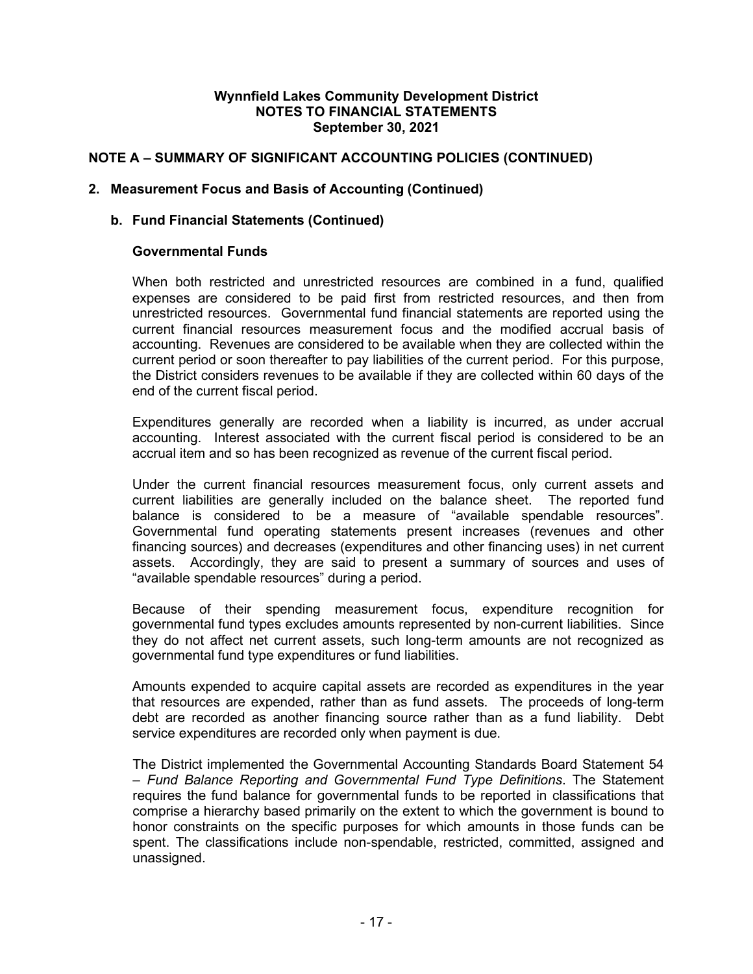## **NOTE A – SUMMARY OF SIGNIFICANT ACCOUNTING POLICIES (CONTINUED)**

#### **2. Measurement Focus and Basis of Accounting (Continued)**

#### **b. Fund Financial Statements (Continued)**

#### **Governmental Funds**

When both restricted and unrestricted resources are combined in a fund, qualified expenses are considered to be paid first from restricted resources, and then from unrestricted resources. Governmental fund financial statements are reported using the current financial resources measurement focus and the modified accrual basis of accounting. Revenues are considered to be available when they are collected within the current period or soon thereafter to pay liabilities of the current period. For this purpose, the District considers revenues to be available if they are collected within 60 days of the end of the current fiscal period.

Expenditures generally are recorded when a liability is incurred, as under accrual accounting. Interest associated with the current fiscal period is considered to be an accrual item and so has been recognized as revenue of the current fiscal period.

Under the current financial resources measurement focus, only current assets and current liabilities are generally included on the balance sheet. The reported fund balance is considered to be a measure of "available spendable resources". Governmental fund operating statements present increases (revenues and other financing sources) and decreases (expenditures and other financing uses) in net current assets. Accordingly, they are said to present a summary of sources and uses of "available spendable resources" during a period.

Because of their spending measurement focus, expenditure recognition for governmental fund types excludes amounts represented by non-current liabilities. Since they do not affect net current assets, such long-term amounts are not recognized as governmental fund type expenditures or fund liabilities.

Amounts expended to acquire capital assets are recorded as expenditures in the year that resources are expended, rather than as fund assets. The proceeds of long-term debt are recorded as another financing source rather than as a fund liability. Debt service expenditures are recorded only when payment is due.

The District implemented the Governmental Accounting Standards Board Statement 54 – *Fund Balance Reporting and Governmental Fund Type Definitions*. The Statement requires the fund balance for governmental funds to be reported in classifications that comprise a hierarchy based primarily on the extent to which the government is bound to honor constraints on the specific purposes for which amounts in those funds can be spent. The classifications include non-spendable, restricted, committed, assigned and unassigned.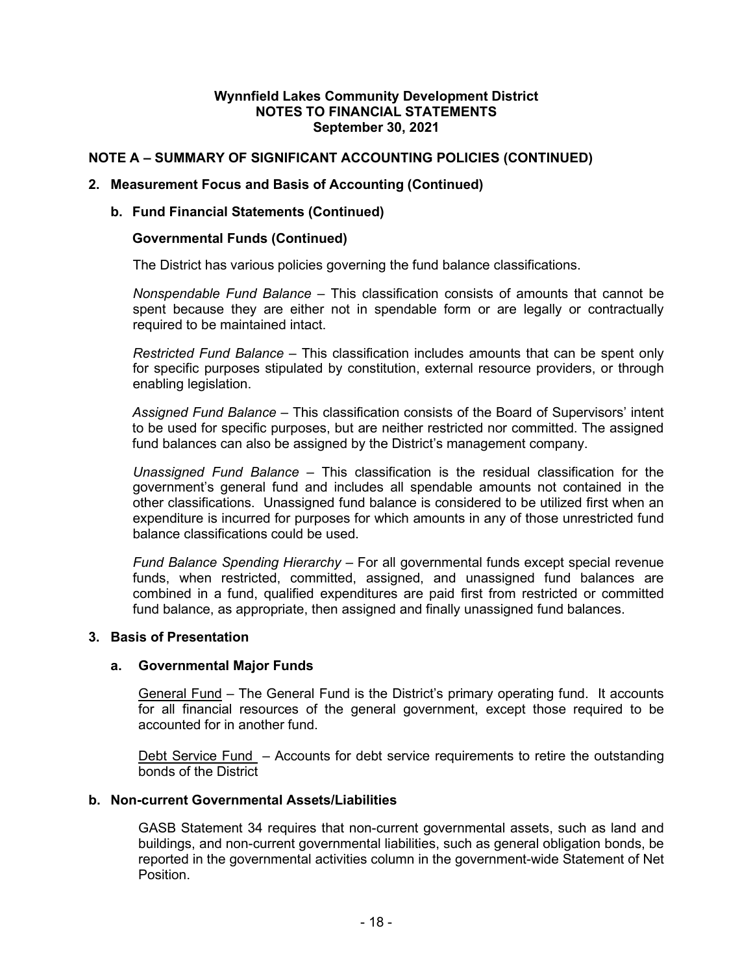## **NOTE A – SUMMARY OF SIGNIFICANT ACCOUNTING POLICIES (CONTINUED)**

#### **2. Measurement Focus and Basis of Accounting (Continued)**

#### **b. Fund Financial Statements (Continued)**

#### **Governmental Funds (Continued)**

The District has various policies governing the fund balance classifications.

*Nonspendable Fund Balance* – This classification consists of amounts that cannot be spent because they are either not in spendable form or are legally or contractually required to be maintained intact.

*Restricted Fund Balance –* This classification includes amounts that can be spent only for specific purposes stipulated by constitution, external resource providers, or through enabling legislation.

*Assigned Fund Balance* – This classification consists of the Board of Supervisors' intent to be used for specific purposes, but are neither restricted nor committed. The assigned fund balances can also be assigned by the District's management company.

*Unassigned Fund Balance* – This classification is the residual classification for the government's general fund and includes all spendable amounts not contained in the other classifications. Unassigned fund balance is considered to be utilized first when an expenditure is incurred for purposes for which amounts in any of those unrestricted fund balance classifications could be used.

*Fund Balance Spending Hierarchy* – For all governmental funds except special revenue funds, when restricted, committed, assigned, and unassigned fund balances are combined in a fund, qualified expenditures are paid first from restricted or committed fund balance, as appropriate, then assigned and finally unassigned fund balances.

#### **3. Basis of Presentation**

#### **a. Governmental Major Funds**

General Fund – The General Fund is the District's primary operating fund. It accounts for all financial resources of the general government, except those required to be accounted for in another fund.

Debt Service Fund – Accounts for debt service requirements to retire the outstanding bonds of the District

#### **b. Non-current Governmental Assets/Liabilities**

GASB Statement 34 requires that non-current governmental assets, such as land and buildings, and non-current governmental liabilities, such as general obligation bonds, be reported in the governmental activities column in the government-wide Statement of Net Position.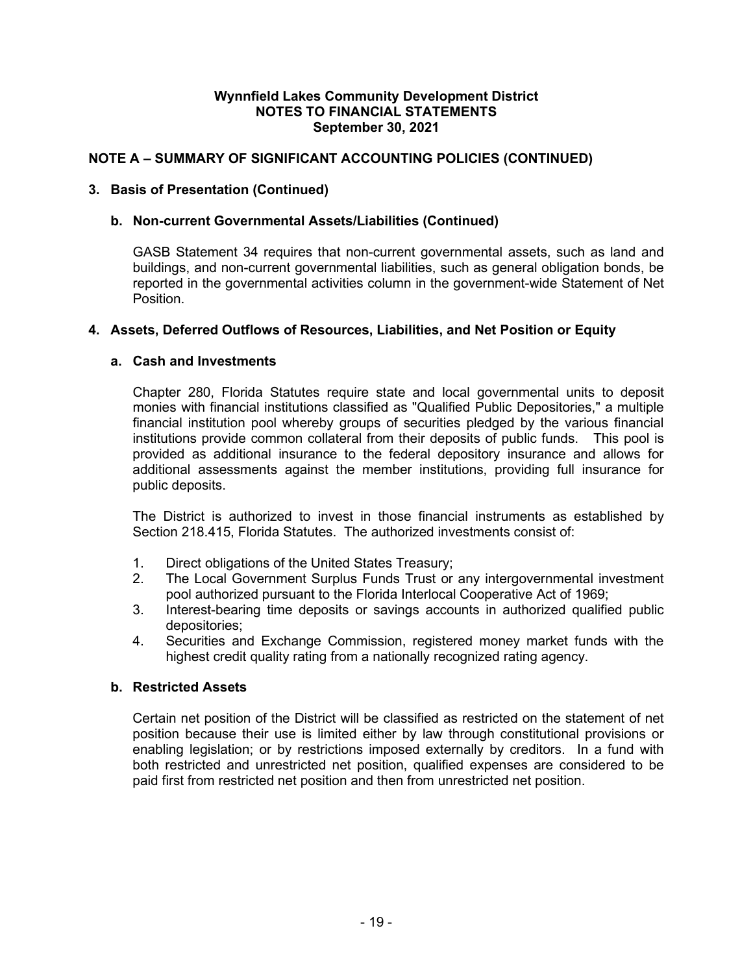## **NOTE A – SUMMARY OF SIGNIFICANT ACCOUNTING POLICIES (CONTINUED)**

### **3. Basis of Presentation (Continued)**

### **b. Non-current Governmental Assets/Liabilities (Continued)**

GASB Statement 34 requires that non-current governmental assets, such as land and buildings, and non-current governmental liabilities, such as general obligation bonds, be reported in the governmental activities column in the government-wide Statement of Net Position.

## **4. Assets, Deferred Outflows of Resources, Liabilities, and Net Position or Equity**

#### **a. Cash and Investments**

Chapter 280, Florida Statutes require state and local governmental units to deposit monies with financial institutions classified as "Qualified Public Depositories," a multiple financial institution pool whereby groups of securities pledged by the various financial institutions provide common collateral from their deposits of public funds. This pool is provided as additional insurance to the federal depository insurance and allows for additional assessments against the member institutions, providing full insurance for public deposits.

The District is authorized to invest in those financial instruments as established by Section 218.415, Florida Statutes. The authorized investments consist of:

- 1. Direct obligations of the United States Treasury;
- 2. The Local Government Surplus Funds Trust or any intergovernmental investment pool authorized pursuant to the Florida Interlocal Cooperative Act of 1969;
- 3. Interest-bearing time deposits or savings accounts in authorized qualified public depositories;
- 4. Securities and Exchange Commission, registered money market funds with the highest credit quality rating from a nationally recognized rating agency.

### **b. Restricted Assets**

Certain net position of the District will be classified as restricted on the statement of net position because their use is limited either by law through constitutional provisions or enabling legislation; or by restrictions imposed externally by creditors. In a fund with both restricted and unrestricted net position, qualified expenses are considered to be paid first from restricted net position and then from unrestricted net position.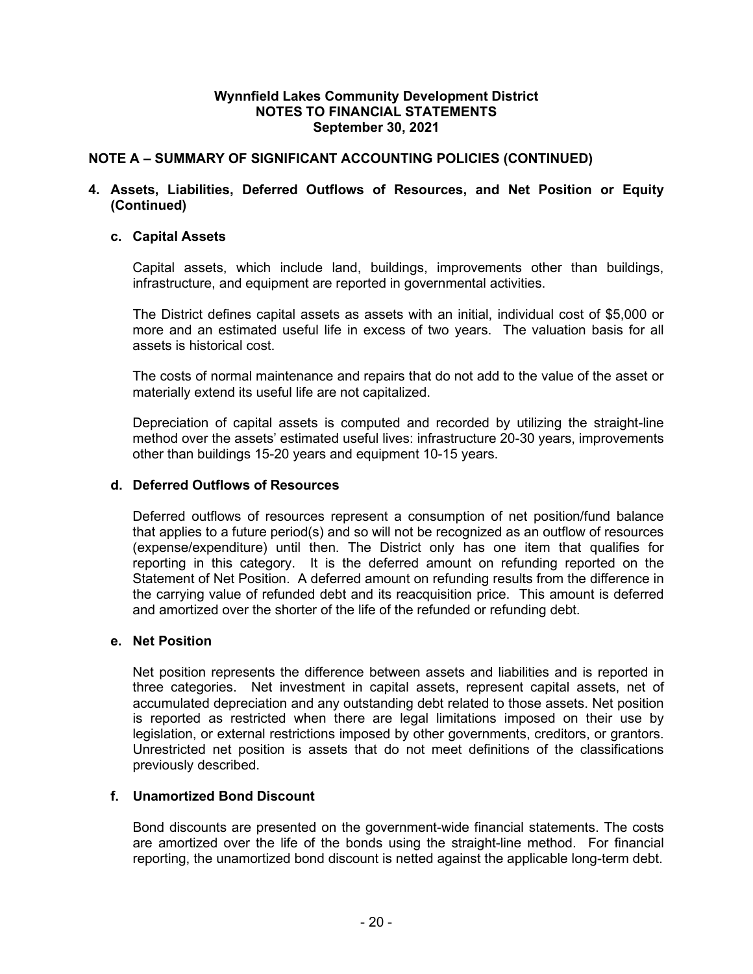## **NOTE A – SUMMARY OF SIGNIFICANT ACCOUNTING POLICIES (CONTINUED)**

### **4. Assets, Liabilities, Deferred Outflows of Resources, and Net Position or Equity (Continued)**

### **c. Capital Assets**

Capital assets, which include land, buildings, improvements other than buildings, infrastructure, and equipment are reported in governmental activities.

The District defines capital assets as assets with an initial, individual cost of \$5,000 or more and an estimated useful life in excess of two years. The valuation basis for all assets is historical cost.

The costs of normal maintenance and repairs that do not add to the value of the asset or materially extend its useful life are not capitalized.

Depreciation of capital assets is computed and recorded by utilizing the straight-line method over the assets' estimated useful lives: infrastructure 20-30 years, improvements other than buildings 15-20 years and equipment 10-15 years.

#### **d. Deferred Outflows of Resources**

Deferred outflows of resources represent a consumption of net position/fund balance that applies to a future period(s) and so will not be recognized as an outflow of resources (expense/expenditure) until then. The District only has one item that qualifies for reporting in this category. It is the deferred amount on refunding reported on the Statement of Net Position. A deferred amount on refunding results from the difference in the carrying value of refunded debt and its reacquisition price. This amount is deferred and amortized over the shorter of the life of the refunded or refunding debt.

#### **e. Net Position**

Net position represents the difference between assets and liabilities and is reported in three categories. Net investment in capital assets, represent capital assets, net of accumulated depreciation and any outstanding debt related to those assets. Net position is reported as restricted when there are legal limitations imposed on their use by legislation, or external restrictions imposed by other governments, creditors, or grantors. Unrestricted net position is assets that do not meet definitions of the classifications previously described.

#### **f. Unamortized Bond Discount**

Bond discounts are presented on the government-wide financial statements. The costs are amortized over the life of the bonds using the straight-line method. For financial reporting, the unamortized bond discount is netted against the applicable long-term debt.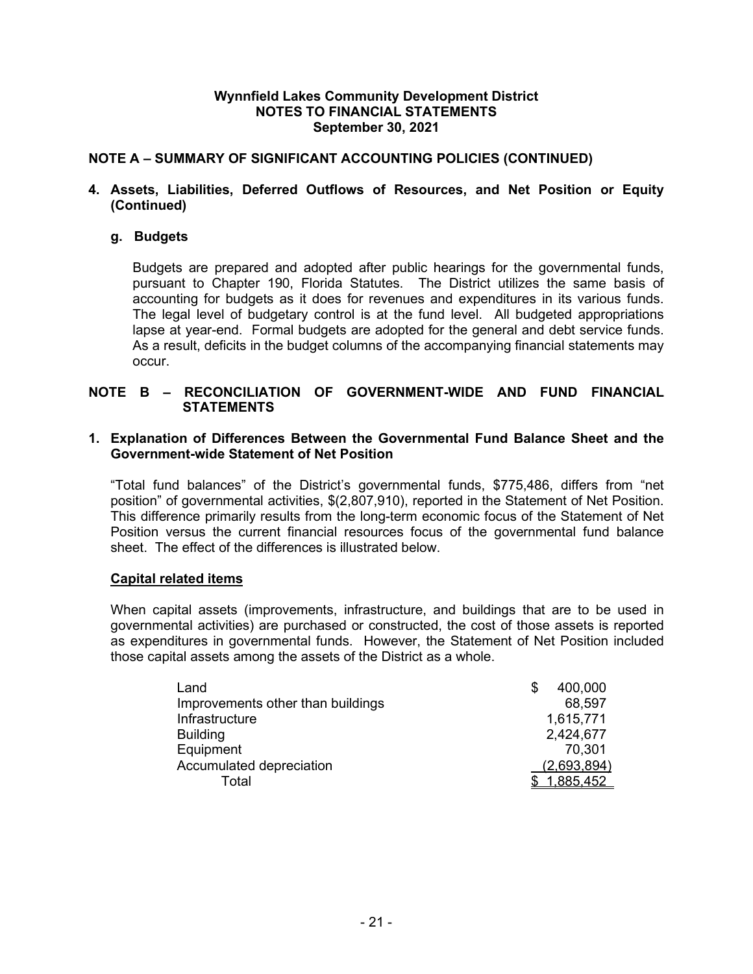## **NOTE A – SUMMARY OF SIGNIFICANT ACCOUNTING POLICIES (CONTINUED)**

### **4. Assets, Liabilities, Deferred Outflows of Resources, and Net Position or Equity (Continued)**

## **g. Budgets**

Budgets are prepared and adopted after public hearings for the governmental funds, pursuant to Chapter 190, Florida Statutes. The District utilizes the same basis of accounting for budgets as it does for revenues and expenditures in its various funds. The legal level of budgetary control is at the fund level. All budgeted appropriations lapse at year-end. Formal budgets are adopted for the general and debt service funds. As a result, deficits in the budget columns of the accompanying financial statements may occur.

### **NOTE B – RECONCILIATION OF GOVERNMENT-WIDE AND FUND FINANCIAL STATEMENTS**

#### **1. Explanation of Differences Between the Governmental Fund Balance Sheet and the Government-wide Statement of Net Position**

"Total fund balances" of the District's governmental funds, \$775,486, differs from "net position" of governmental activities, \$(2,807,910), reported in the Statement of Net Position. This difference primarily results from the long-term economic focus of the Statement of Net Position versus the current financial resources focus of the governmental fund balance sheet. The effect of the differences is illustrated below.

### **Capital related items**

When capital assets (improvements, infrastructure, and buildings that are to be used in governmental activities) are purchased or constructed, the cost of those assets is reported as expenditures in governmental funds. However, the Statement of Net Position included those capital assets among the assets of the District as a whole.

| Land                              | 400,000     |
|-----------------------------------|-------------|
| Improvements other than buildings | 68,597      |
| Infrastructure                    | 1,615,771   |
| <b>Building</b>                   | 2,424,677   |
| Equipment                         | 70,301      |
| Accumulated depreciation          | (2,693,894) |
| Total                             | 1,885,452   |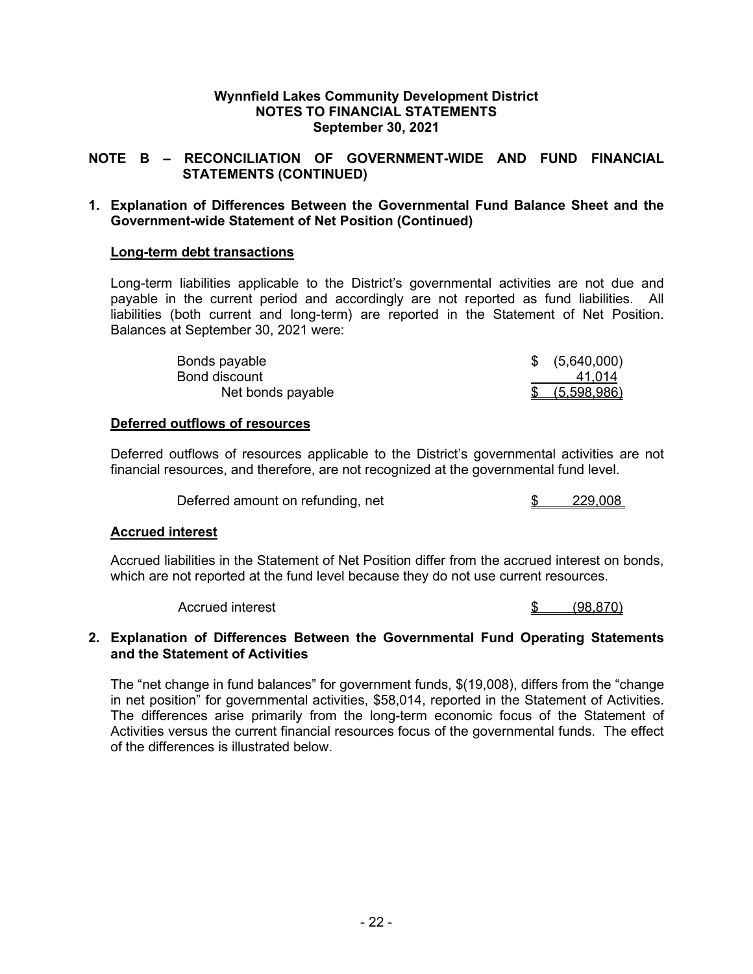### **NOTE B – RECONCILIATION OF GOVERNMENT-WIDE AND FUND FINANCIAL STATEMENTS (CONTINUED)**

### **1. Explanation of Differences Between the Governmental Fund Balance Sheet and the Government-wide Statement of Net Position (Continued)**

### **Long-term debt transactions**

Long-term liabilities applicable to the District's governmental activities are not due and payable in the current period and accordingly are not reported as fund liabilities. All liabilities (both current and long-term) are reported in the Statement of Net Position. Balances at September 30, 2021 were:

| Bonds payable     | \$ (5,640,000) |
|-------------------|----------------|
| Bond discount     | 41.014         |
| Net bonds payable | (5,598,986)    |

### **Deferred outflows of resources**

Deferred outflows of resources applicable to the District's governmental activities are not financial resources, and therefore, are not recognized at the governmental fund level.

Deferred amount on refunding, net  $$3$  229,008

#### **Accrued interest**

Accrued liabilities in the Statement of Net Position differ from the accrued interest on bonds, which are not reported at the fund level because they do not use current resources.

Accrued interest the set of the set of the set of the set of the set of the set of the set of the set of the set of the set of the set of the set of the set of the set of the set of the set of the set of the set of the set

#### **2. Explanation of Differences Between the Governmental Fund Operating Statements and the Statement of Activities**

The "net change in fund balances" for government funds, \$(19,008), differs from the "change in net position" for governmental activities, \$58,014, reported in the Statement of Activities. The differences arise primarily from the long-term economic focus of the Statement of Activities versus the current financial resources focus of the governmental funds. The effect of the differences is illustrated below.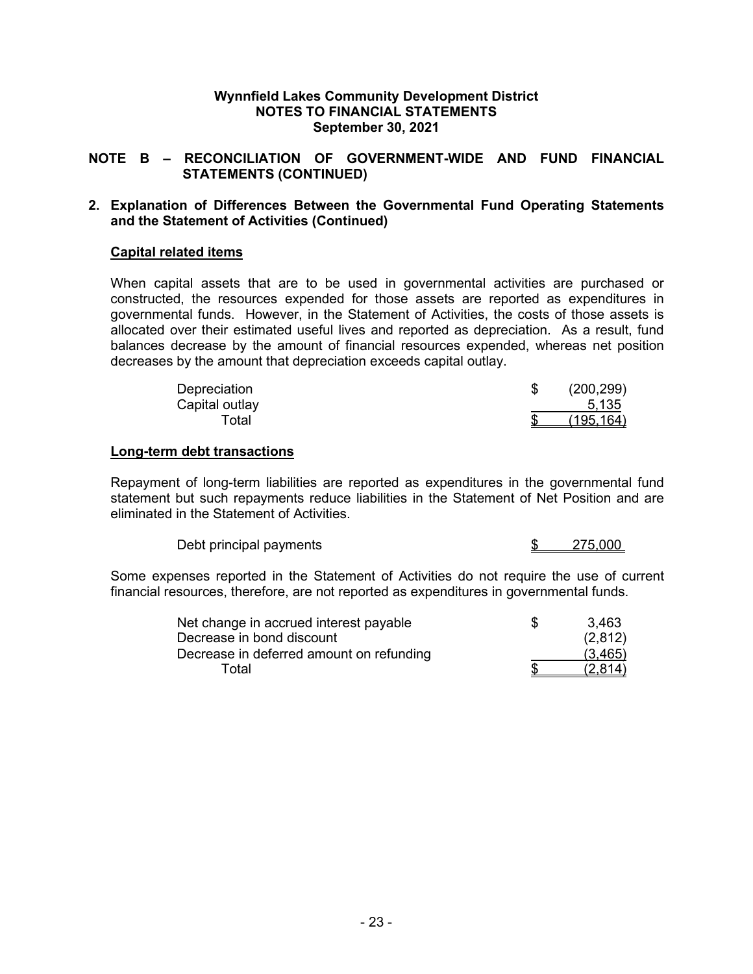### **NOTE B – RECONCILIATION OF GOVERNMENT-WIDE AND FUND FINANCIAL STATEMENTS (CONTINUED)**

#### **2. Explanation of Differences Between the Governmental Fund Operating Statements and the Statement of Activities (Continued)**

#### **Capital related items**

When capital assets that are to be used in governmental activities are purchased or constructed, the resources expended for those assets are reported as expenditures in governmental funds. However, in the Statement of Activities, the costs of those assets is allocated over their estimated useful lives and reported as depreciation. As a result, fund balances decrease by the amount of financial resources expended, whereas net position decreases by the amount that depreciation exceeds capital outlay.

| Depreciation   | (200, 299) |
|----------------|------------|
| Capital outlay | 5,135      |
| Гоtal          | (195, 164) |

#### **Long-term debt transactions**

Repayment of long-term liabilities are reported as expenditures in the governmental fund statement but such repayments reduce liabilities in the Statement of Net Position and are eliminated in the Statement of Activities.

| Debt principal payments |  | 275.000 |
|-------------------------|--|---------|
|-------------------------|--|---------|

Some expenses reported in the Statement of Activities do not require the use of current financial resources, therefore, are not reported as expenditures in governmental funds.

| Net change in accrued interest payable   | 3.463   |
|------------------------------------------|---------|
| Decrease in bond discount                | (2,812) |
| Decrease in deferred amount on refunding | (3,465) |
| Total                                    | (2,814) |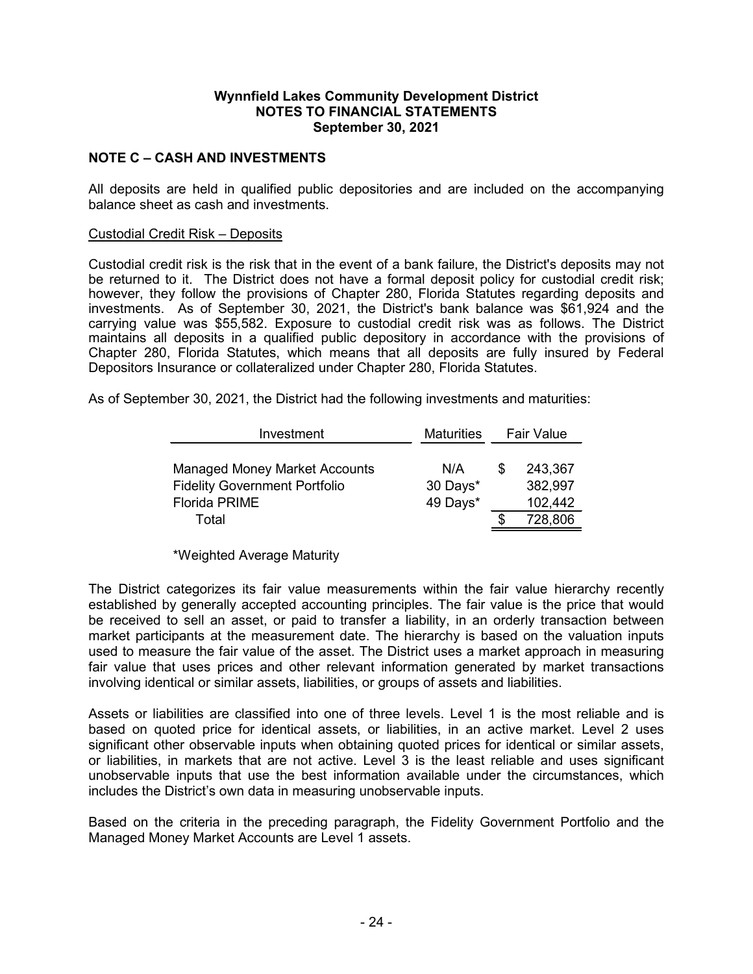### **NOTE C – CASH AND INVESTMENTS**

All deposits are held in qualified public depositories and are included on the accompanying balance sheet as cash and investments.

#### Custodial Credit Risk – Deposits

Custodial credit risk is the risk that in the event of a bank failure, the District's deposits may not be returned to it. The District does not have a formal deposit policy for custodial credit risk; however, they follow the provisions of Chapter 280, Florida Statutes regarding deposits and investments. As of September 30, 2021, the District's bank balance was \$61,924 and the carrying value was \$55,582. Exposure to custodial credit risk was as follows. The District maintains all deposits in a qualified public depository in accordance with the provisions of Chapter 280, Florida Statutes, which means that all deposits are fully insured by Federal Depositors Insurance or collateralized under Chapter 280, Florida Statutes.

As of September 30, 2021, the District had the following investments and maturities:

| Investment                           | <b>Maturities</b> | <b>Fair Value</b> |         |  |
|--------------------------------------|-------------------|-------------------|---------|--|
| <b>Managed Money Market Accounts</b> | N/A               | S                 | 243,367 |  |
| <b>Fidelity Government Portfolio</b> | 30 Days*          |                   | 382,997 |  |
| <b>Florida PRIME</b>                 | 49 Days*          |                   | 102,442 |  |
| Total                                |                   |                   | 728,806 |  |

#### \*Weighted Average Maturity

The District categorizes its fair value measurements within the fair value hierarchy recently established by generally accepted accounting principles. The fair value is the price that would be received to sell an asset, or paid to transfer a liability, in an orderly transaction between market participants at the measurement date. The hierarchy is based on the valuation inputs used to measure the fair value of the asset. The District uses a market approach in measuring fair value that uses prices and other relevant information generated by market transactions involving identical or similar assets, liabilities, or groups of assets and liabilities.

Assets or liabilities are classified into one of three levels. Level 1 is the most reliable and is based on quoted price for identical assets, or liabilities, in an active market. Level 2 uses significant other observable inputs when obtaining quoted prices for identical or similar assets, or liabilities, in markets that are not active. Level 3 is the least reliable and uses significant unobservable inputs that use the best information available under the circumstances, which includes the District's own data in measuring unobservable inputs.

Based on the criteria in the preceding paragraph, the Fidelity Government Portfolio and the Managed Money Market Accounts are Level 1 assets.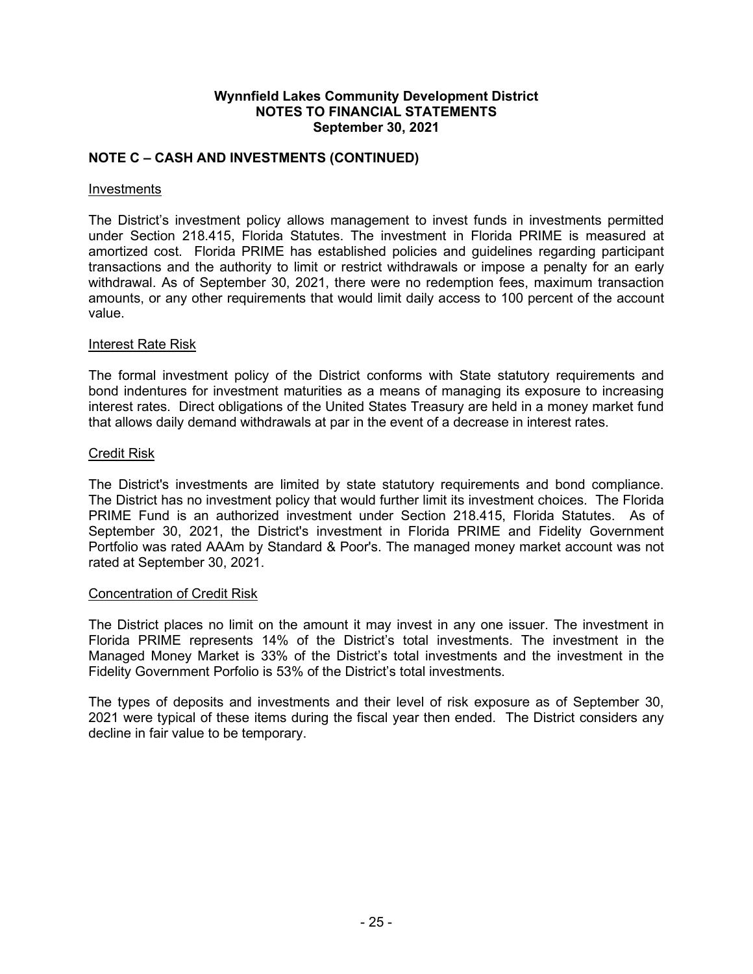## **NOTE C – CASH AND INVESTMENTS (CONTINUED)**

#### **Investments**

The District's investment policy allows management to invest funds in investments permitted under Section 218.415, Florida Statutes. The investment in Florida PRIME is measured at amortized cost. Florida PRIME has established policies and guidelines regarding participant transactions and the authority to limit or restrict withdrawals or impose a penalty for an early withdrawal. As of September 30, 2021, there were no redemption fees, maximum transaction amounts, or any other requirements that would limit daily access to 100 percent of the account value.

#### Interest Rate Risk

The formal investment policy of the District conforms with State statutory requirements and bond indentures for investment maturities as a means of managing its exposure to increasing interest rates. Direct obligations of the United States Treasury are held in a money market fund that allows daily demand withdrawals at par in the event of a decrease in interest rates.

#### Credit Risk

The District's investments are limited by state statutory requirements and bond compliance. The District has no investment policy that would further limit its investment choices. The Florida PRIME Fund is an authorized investment under Section 218.415, Florida Statutes. As of September 30, 2021, the District's investment in Florida PRIME and Fidelity Government Portfolio was rated AAAm by Standard & Poor's. The managed money market account was not rated at September 30, 2021.

#### Concentration of Credit Risk

The District places no limit on the amount it may invest in any one issuer. The investment in Florida PRIME represents 14% of the District's total investments. The investment in the Managed Money Market is 33% of the District's total investments and the investment in the Fidelity Government Porfolio is 53% of the District's total investments.

The types of deposits and investments and their level of risk exposure as of September 30, 2021 were typical of these items during the fiscal year then ended. The District considers any decline in fair value to be temporary.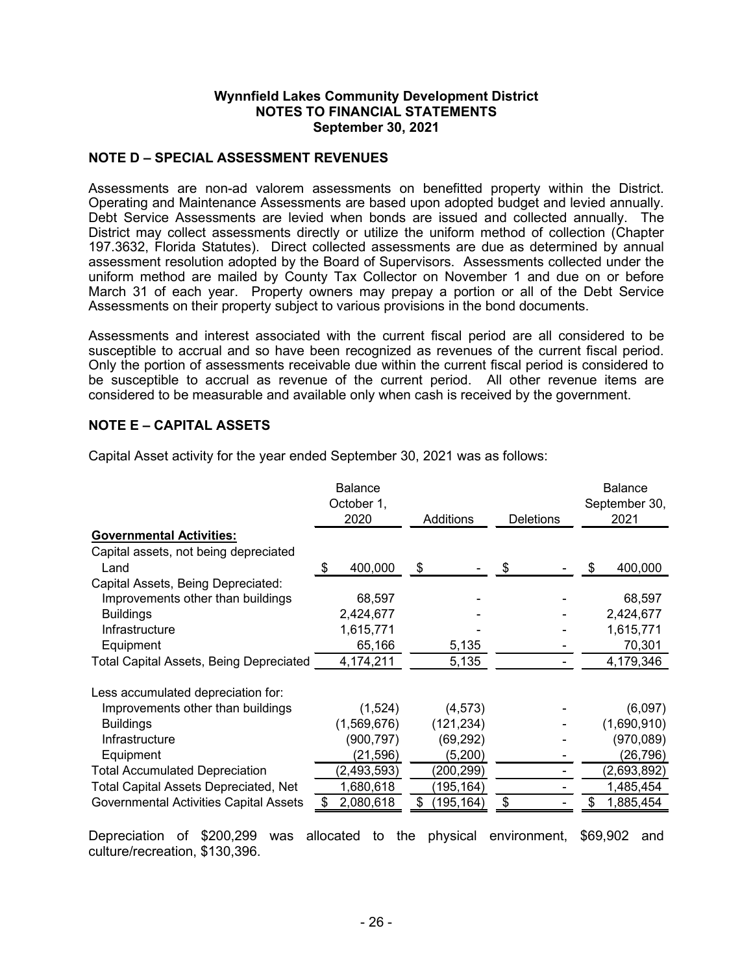### **NOTE D – SPECIAL ASSESSMENT REVENUES**

Assessments are non-ad valorem assessments on benefitted property within the District. Operating and Maintenance Assessments are based upon adopted budget and levied annually. Debt Service Assessments are levied when bonds are issued and collected annually. The District may collect assessments directly or utilize the uniform method of collection (Chapter 197.3632, Florida Statutes). Direct collected assessments are due as determined by annual assessment resolution adopted by the Board of Supervisors. Assessments collected under the uniform method are mailed by County Tax Collector on November 1 and due on or before March 31 of each year. Property owners may prepay a portion or all of the Debt Service Assessments on their property subject to various provisions in the bond documents.

Assessments and interest associated with the current fiscal period are all considered to be susceptible to accrual and so have been recognized as revenues of the current fiscal period. Only the portion of assessments receivable due within the current fiscal period is considered to be susceptible to accrual as revenue of the current period. All other revenue items are considered to be measurable and available only when cash is received by the government.

#### **NOTE E – CAPITAL ASSETS**

|                                               | <b>Balance</b><br>October 1,<br>2020 | Additions        | <b>Deletions</b> |   | <b>Balance</b><br>September 30,<br>2021 |
|-----------------------------------------------|--------------------------------------|------------------|------------------|---|-----------------------------------------|
| <b>Governmental Activities:</b>               |                                      |                  |                  |   |                                         |
| Capital assets, not being depreciated         |                                      |                  |                  |   |                                         |
| Land                                          | 400,000<br>S                         | \$               | \$               | S | 400,000                                 |
| Capital Assets, Being Depreciated:            |                                      |                  |                  |   |                                         |
| Improvements other than buildings             | 68,597                               |                  |                  |   | 68,597                                  |
| <b>Buildings</b>                              | 2,424,677                            |                  |                  |   | 2,424,677                               |
| Infrastructure                                | 1,615,771                            |                  |                  |   | 1,615,771                               |
| Equipment                                     | 65,166                               | 5,135            |                  |   | 70,301                                  |
| Total Capital Assets, Being Depreciated       | 4,174,211                            | 5,135            |                  |   | 4,179,346                               |
| Less accumulated depreciation for:            |                                      |                  |                  |   |                                         |
| Improvements other than buildings             | (1,524)                              | (4, 573)         |                  |   | (6,097)                                 |
| <b>Buildings</b>                              | (1,569,676)                          | (121, 234)       |                  |   | (1,690,910)                             |
| Infrastructure                                | (900, 797)                           | (69, 292)        |                  |   | (970,089)                               |
| Equipment                                     | (21, 596)                            | (5, 200)         |                  |   | (26,796)                                |
| <b>Total Accumulated Depreciation</b>         | (2, 493, 593)                        | (200, 299)       |                  |   | (2,693,892)                             |
| <b>Total Capital Assets Depreciated, Net</b>  | 1,680,618                            | (195, 164)       |                  |   | 1,485,454                               |
| <b>Governmental Activities Capital Assets</b> | \$<br>2,080,618                      | \$<br>(195, 164) | \$               |   | 1,885,454                               |

Capital Asset activity for the year ended September 30, 2021 was as follows:

Depreciation of \$200,299 was allocated to the physical environment, \$69,902 and culture/recreation, \$130,396.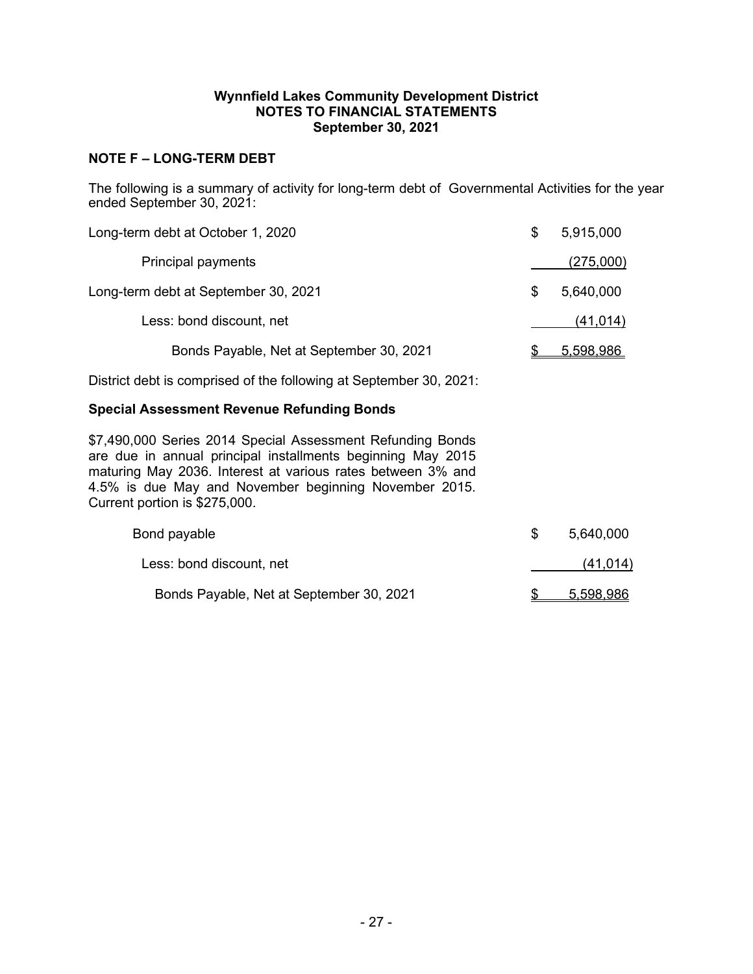## **NOTE F – LONG-TERM DEBT**

The following is a summary of activity for long-term debt of Governmental Activities for the year ended September 30, 2021:

| Long-term debt at October 1, 2020                                                                                                                                                                                                                                                  | \$<br>5,915,000 |
|------------------------------------------------------------------------------------------------------------------------------------------------------------------------------------------------------------------------------------------------------------------------------------|-----------------|
| <b>Principal payments</b>                                                                                                                                                                                                                                                          | (275,000)       |
| Long-term debt at September 30, 2021                                                                                                                                                                                                                                               | \$<br>5,640,000 |
| Less: bond discount, net                                                                                                                                                                                                                                                           | (41, 014)       |
| Bonds Payable, Net at September 30, 2021                                                                                                                                                                                                                                           | 5,598,986       |
| District debt is comprised of the following at September 30, 2021:                                                                                                                                                                                                                 |                 |
| <b>Special Assessment Revenue Refunding Bonds</b>                                                                                                                                                                                                                                  |                 |
| \$7,490,000 Series 2014 Special Assessment Refunding Bonds<br>are due in annual principal installments beginning May 2015<br>maturing May 2036. Interest at various rates between 3% and<br>4.5% is due May and November beginning November 2015.<br>Current portion is \$275,000. |                 |
| Bond payable                                                                                                                                                                                                                                                                       | \$<br>5,640,000 |
| Less: bond discount, net                                                                                                                                                                                                                                                           | (41, 014)       |
| Bonds Payable, Net at September 30, 2021                                                                                                                                                                                                                                           | \$<br>5,598,986 |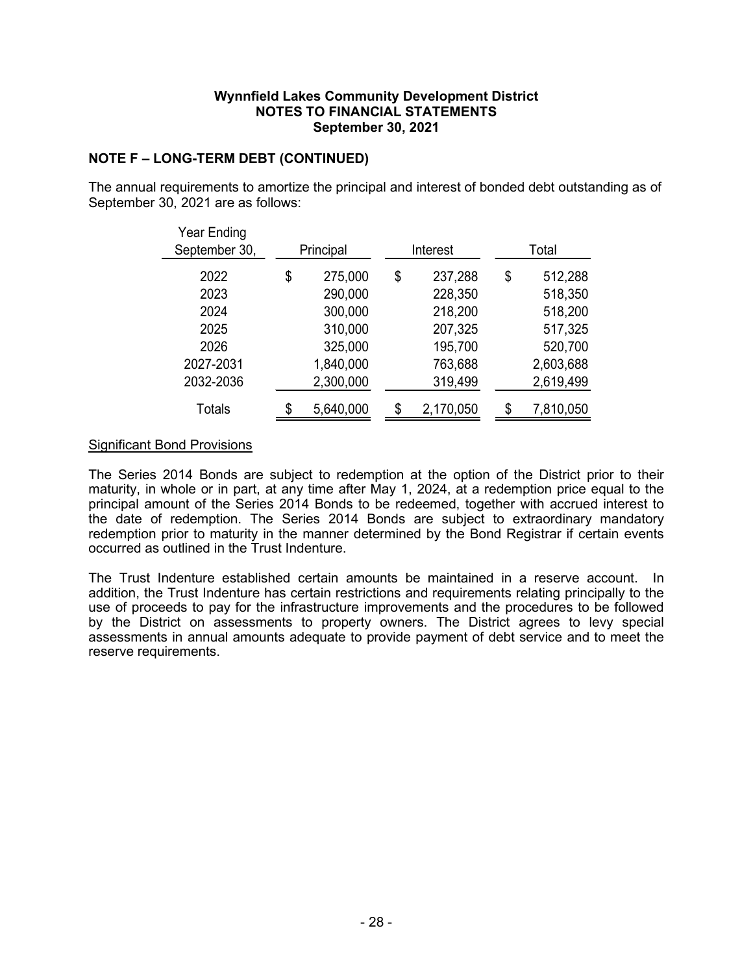## **NOTE F – LONG-TERM DEBT (CONTINUED)**

The annual requirements to amortize the principal and interest of bonded debt outstanding as of September 30, 2021 are as follows:

| Year Ending   |                 |               |    |           |
|---------------|-----------------|---------------|----|-----------|
| September 30, | Principal       | Interest      |    | Total     |
| 2022          | \$<br>275,000   | \$<br>237,288 | \$ | 512,288   |
| 2023          | 290,000         | 228,350       |    | 518,350   |
| 2024          | 300,000         | 218,200       |    | 518,200   |
| 2025          | 310,000         | 207,325       |    | 517,325   |
| 2026          | 325,000         | 195,700       |    | 520,700   |
| 2027-2031     | 1,840,000       | 763,688       |    | 2,603,688 |
| 2032-2036     | 2,300,000       | 319,499       |    | 2,619,499 |
| Totals        | \$<br>5,640,000 | 2,170,050     | ፍ  | 7,810,050 |

### Significant Bond Provisions

The Series 2014 Bonds are subject to redemption at the option of the District prior to their maturity, in whole or in part, at any time after May 1, 2024, at a redemption price equal to the principal amount of the Series 2014 Bonds to be redeemed, together with accrued interest to the date of redemption. The Series 2014 Bonds are subject to extraordinary mandatory redemption prior to maturity in the manner determined by the Bond Registrar if certain events occurred as outlined in the Trust Indenture.

The Trust Indenture established certain amounts be maintained in a reserve account. In addition, the Trust Indenture has certain restrictions and requirements relating principally to the use of proceeds to pay for the infrastructure improvements and the procedures to be followed by the District on assessments to property owners. The District agrees to levy special assessments in annual amounts adequate to provide payment of debt service and to meet the reserve requirements.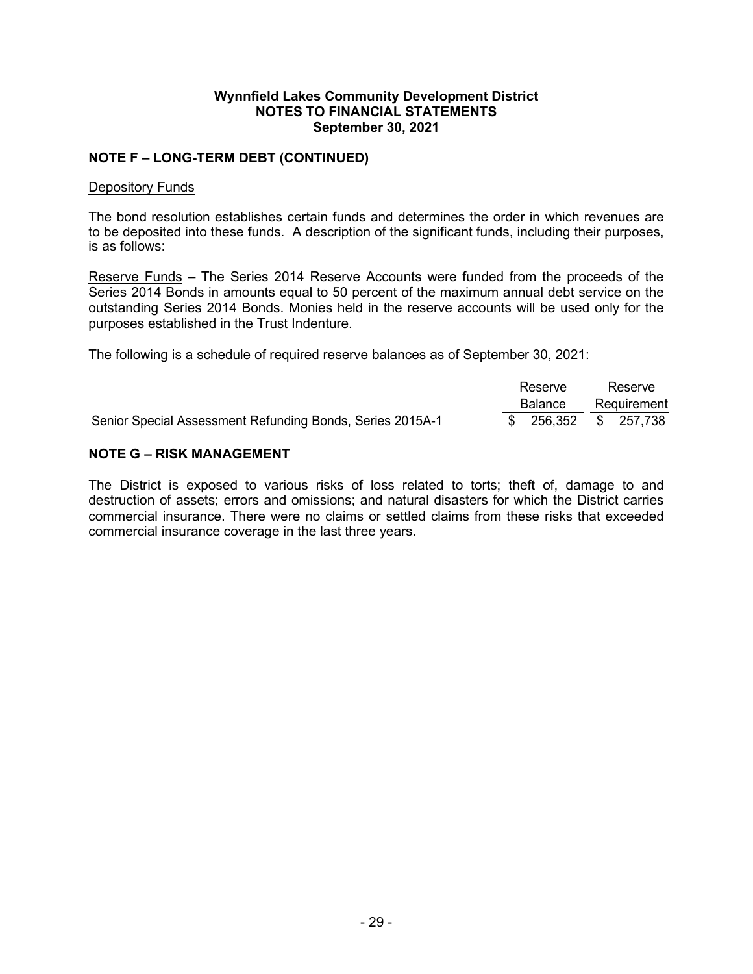## **NOTE F – LONG-TERM DEBT (CONTINUED)**

#### Depository Funds

The bond resolution establishes certain funds and determines the order in which revenues are to be deposited into these funds. A description of the significant funds, including their purposes, is as follows:

Reserve Funds – The Series 2014 Reserve Accounts were funded from the proceeds of the Series 2014 Bonds in amounts equal to 50 percent of the maximum annual debt service on the outstanding Series 2014 Bonds. Monies held in the reserve accounts will be used only for the purposes established in the Trust Indenture.

The following is a schedule of required reserve balances as of September 30, 2021:

|                                                           | Reserve               | Reserve |             |  |
|-----------------------------------------------------------|-----------------------|---------|-------------|--|
|                                                           | <b>Balance</b>        |         | Requirement |  |
| Senior Special Assessment Refunding Bonds, Series 2015A-1 | $$256,352$ $$257,738$ |         |             |  |

### **NOTE G – RISK MANAGEMENT**

The District is exposed to various risks of loss related to torts; theft of, damage to and destruction of assets; errors and omissions; and natural disasters for which the District carries commercial insurance. There were no claims or settled claims from these risks that exceeded commercial insurance coverage in the last three years.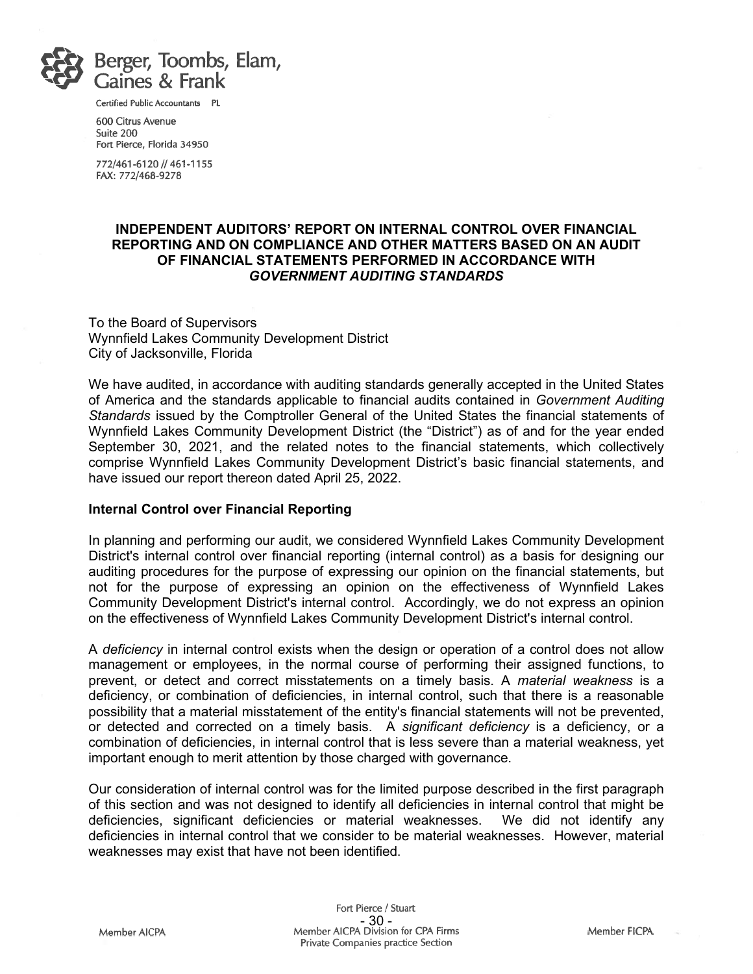

Certified Public Accountants PL

600 Citrus Avenue Suite 200 Fort Pierce, Florida 34950

772/461-6120 // 461-1155 FAX: 772/468-9278

#### **INDEPENDENT AUDITORS' REPORT ON INTERNAL CONTROL OVER FINANCIAL REPORTING AND ON COMPLIANCE AND OTHER MATTERS BASED ON AN AUDIT OF FINANCIAL STATEMENTS PERFORMED IN ACCORDANCE WITH** *GOVERNMENT AUDITING STANDARDS*

To the Board of Supervisors Wynnfield Lakes Community Development District City of Jacksonville, Florida

We have audited, in accordance with auditing standards generally accepted in the United States of America and the standards applicable to financial audits contained in *Government Auditing Standards* issued by the Comptroller General of the United States the financial statements of Wynnfield Lakes Community Development District (the "District") as of and for the year ended September 30, 2021, and the related notes to the financial statements, which collectively comprise Wynnfield Lakes Community Development District's basic financial statements, and have issued our report thereon dated April 25, 2022.

#### **Internal Control over Financial Reporting**

In planning and performing our audit, we considered Wynnfield Lakes Community Development District's internal control over financial reporting (internal control) as a basis for designing our auditing procedures for the purpose of expressing our opinion on the financial statements, but not for the purpose of expressing an opinion on the effectiveness of Wynnfield Lakes Community Development District's internal control. Accordingly, we do not express an opinion on the effectiveness of Wynnfield Lakes Community Development District's internal control.

A *deficiency* in internal control exists when the design or operation of a control does not allow management or employees, in the normal course of performing their assigned functions, to prevent, or detect and correct misstatements on a timely basis. A *material weakness* is a deficiency, or combination of deficiencies, in internal control, such that there is a reasonable possibility that a material misstatement of the entity's financial statements will not be prevented, or detected and corrected on a timely basis. A *significant deficiency* is a deficiency, or a combination of deficiencies, in internal control that is less severe than a material weakness, yet important enough to merit attention by those charged with governance.

Our consideration of internal control was for the limited purpose described in the first paragraph of this section and was not designed to identify all deficiencies in internal control that might be deficiencies, significant deficiencies or material weaknesses. We did not identify any deficiencies, significant deficiencies or material weaknesses. deficiencies in internal control that we consider to be material weaknesses. However, material weaknesses may exist that have not been identified.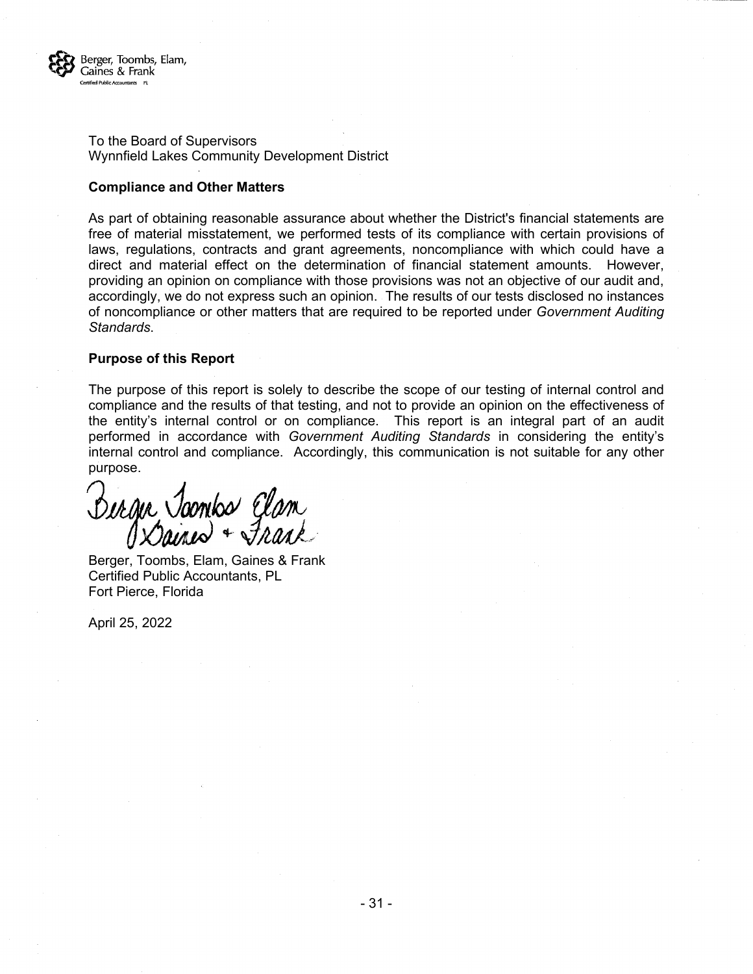

To the Board of Supervisors Wynnfield Lakes Community Development District

#### **Compliance and Other Matters**

As part of obtaining reasonable assurance about whether the District's financial statements are free of material misstatement, we performed tests of its compliance with certain provisions of laws, regulations, contracts and grant agreements, noncompliance with which could have a direct and material effect on the determination of financial statement amounts. However, providing an opinion on compliance with those provisions was not an objective of our audit and, accordingly, we do not express such an opinion. The results of our tests disclosed no instances of noncompliance or other matters that are required to be reported under *Government Auditing Standards*.

#### **Purpose of this Report**

The purpose of this report is solely to describe the scope of our testing of internal control and compliance and the results of that testing, and not to provide an opinion on the effectiveness of the entity's internal control or on compliance. This report is an integral part of an audit performed in accordance with *Government Auditing Standards* in considering the entity's internal control and compliance. Accordingly, this communication is not suitable for any other purpose.

Dergie Joonbo Clam

Berger, Toombs, Elam, Gaines & Frank Certified Public Accountants, PL Fort Pierce, Florida

April 25, 2022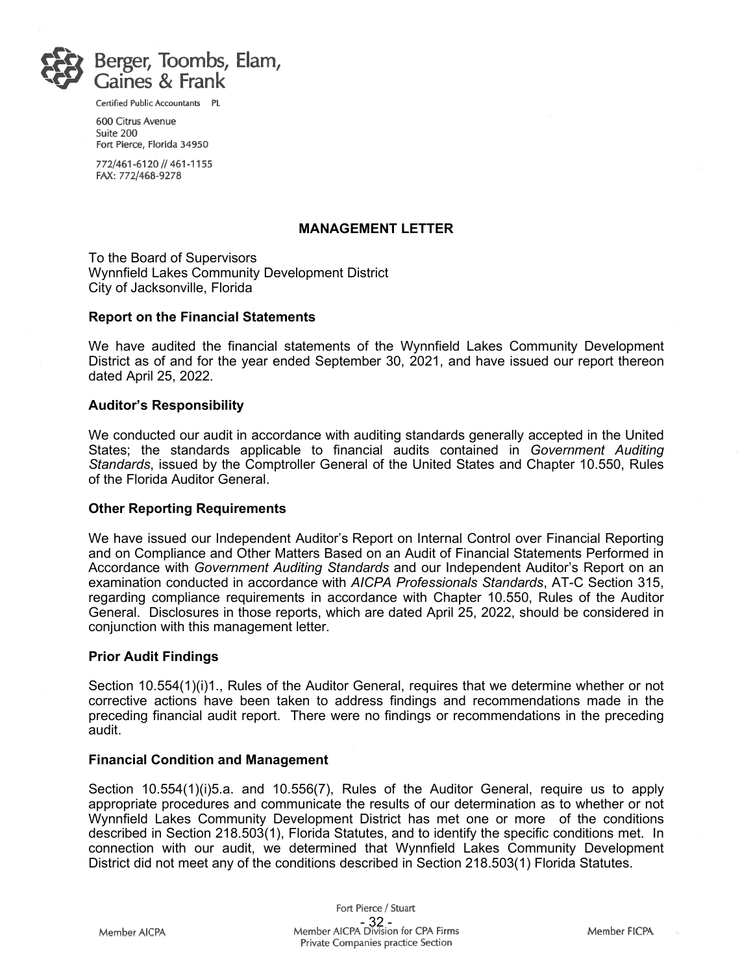

Certified Public Accountants PL

600 Citrus Avenue Suite 200 Fort Pierce, Florida 34950

772/461-6120 // 461-1155 FAX: 772/468-9278

#### **MANAGEMENT LETTER**

To the Board of Supervisors Wynnfield Lakes Community Development District City of Jacksonville, Florida

#### **Report on the Financial Statements**

We have audited the financial statements of the Wynnfield Lakes Community Development District as of and for the year ended September 30, 2021, and have issued our report thereon dated April 25, 2022.

#### **Auditor's Responsibility**

We conducted our audit in accordance with auditing standards generally accepted in the United States; the standards applicable to financial audits contained in *Government Auditing Standards*, issued by the Comptroller General of the United States and Chapter 10.550, Rules of the Florida Auditor General.

#### **Other Reporting Requirements**

We have issued our Independent Auditor's Report on Internal Control over Financial Reporting and on Compliance and Other Matters Based on an Audit of Financial Statements Performed in Accordance with *Government Auditing Standards* and our Independent Auditor's Report on an examination conducted in accordance with *AICPA Professionals Standards*, AT-C Section 315, regarding compliance requirements in accordance with Chapter 10.550, Rules of the Auditor General. Disclosures in those reports, which are dated April 25, 2022, should be considered in conjunction with this management letter.

#### **Prior Audit Findings**

Section 10.554(1)(i)1., Rules of the Auditor General, requires that we determine whether or not corrective actions have been taken to address findings and recommendations made in the preceding financial audit report. There were no findings or recommendations in the preceding audit.

#### **Financial Condition and Management**

Section 10.554(1)(i)5.a. and 10.556(7), Rules of the Auditor General, require us to apply appropriate procedures and communicate the results of our determination as to whether or not Wynnfield Lakes Community Development District has met one or more of the conditions described in Section 218.503(1), Florida Statutes, and to identify the specific conditions met. In connection with our audit, we determined that Wynnfield Lakes Community Development District did not meet any of the conditions described in Section 218.503(1) Florida Statutes.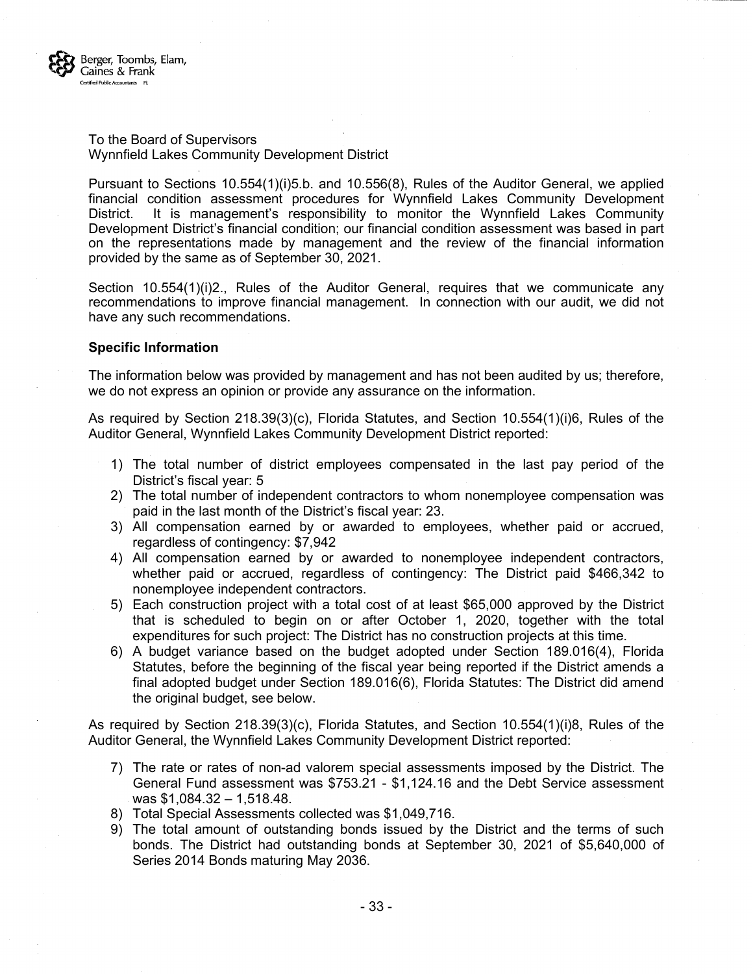

#### To the Board of Supervisors Wynnfield Lakes Community Development District

Pursuant to Sections 10.554(1)(i)5.b. and 10.556(8), Rules of the Auditor General, we applied financial condition assessment procedures for Wynnfield Lakes Community Development District. It is management's responsibility to monitor the Wynnfield Lakes Community Development District's financial condition; our financial condition assessment was based in part on the representations made by management and the review of the financial information provided by the same as of September 30, 2021.

Section 10.554(1)(i)2., Rules of the Auditor General, requires that we communicate any recommendations to improve financial management. In connection with our audit, we did not have any such recommendations.

#### **Specific Information**

The information below was provided by management and has not been audited by us; therefore, we do not express an opinion or provide any assurance on the information.

As required by Section 218.39(3)(c), Florida Statutes, and Section 10.554(1)(i)6, Rules of the Auditor General, Wynnfield Lakes Community Development District reported:

- 1) The total number of district employees compensated in the last pay period of the District's fiscal year: 5
- 2) The total number of independent contractors to whom nonemployee compensation was paid in the last month of the District's fiscal year: 23.
- 3) All compensation earned by or awarded to employees, whether paid or accrued, regardless of contingency: \$7,942
- 4) All compensation earned by or awarded to nonemployee independent contractors, whether paid or accrued, regardless of contingency: The District paid \$466,342 to nonemployee independent contractors.
- 5) Each construction project with a total cost of at least \$65,000 approved by the District that is scheduled to begin on or after October 1, 2020, together with the total expenditures for such project: The District has no construction projects at this time.
- 6) A budget variance based on the budget adopted under Section 189.016(4), Florida Statutes, before the beginning of the fiscal year being reported if the District amends a final adopted budget under Section 189.016(6), Florida Statutes: The District did amend the original budget, see below.

As required by Section 218.39(3)(c), Florida Statutes, and Section 10.554(1)(i)8, Rules of the Auditor General, the Wynnfield Lakes Community Development District reported:

- 7) The rate or rates of non-ad valorem special assessments imposed by the District. The General Fund assessment was \$753.21 - \$1,124.16 and the Debt Service assessment was \$1,084.32 – 1,518.48.
- 8) Total Special Assessments collected was \$1,049,716.
- 9) The total amount of outstanding bonds issued by the District and the terms of such bonds. The District had outstanding bonds at September 30, 2021 of \$5,640,000 of Series 2014 Bonds maturing May 2036.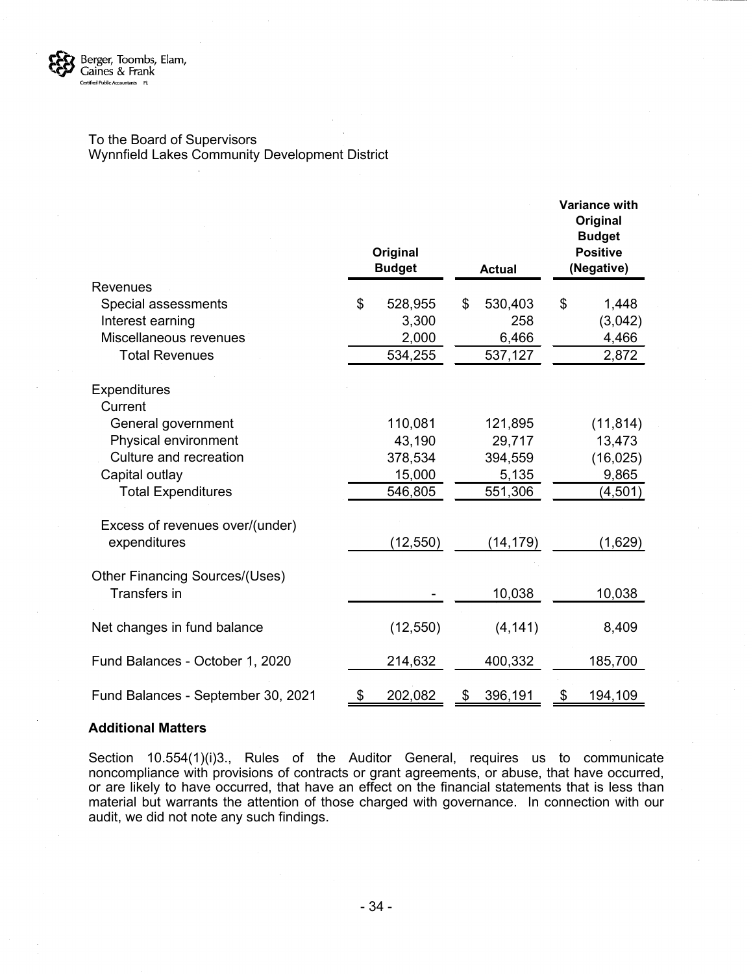

#### To the Board of Supervisors Wynnfield Lakes Community Development District

|                                       | Original<br><b>Budget</b> | <b>Actual</b> | <b>Variance with</b><br>Original<br><b>Budget</b><br><b>Positive</b><br>(Negative) |
|---------------------------------------|---------------------------|---------------|------------------------------------------------------------------------------------|
| <b>Revenues</b>                       |                           |               |                                                                                    |
| Special assessments                   | \$<br>528,955             | \$<br>530,403 | \$<br>1,448                                                                        |
| Interest earning                      | 3,300                     | 258           | (3,042)                                                                            |
| Miscellaneous revenues                | 2,000                     | 6,466         | 4,466                                                                              |
| <b>Total Revenues</b>                 | 534,255                   | 537,127       | 2,872                                                                              |
| <b>Expenditures</b><br>Current        |                           |               |                                                                                    |
| General government                    | 110,081                   | 121,895       | (11, 814)                                                                          |
| Physical environment                  | 43,190                    | 29,717        | 13,473                                                                             |
| Culture and recreation                | 378,534                   | 394,559       | (16, 025)                                                                          |
| Capital outlay                        | 15,000                    | 5,135         | 9,865                                                                              |
| <b>Total Expenditures</b>             | 546,805                   | 551,306       | (4,501)                                                                            |
| Excess of revenues over/(under)       |                           |               |                                                                                    |
| expenditures                          | (12, 550)                 | (14,179)      | (1,629)                                                                            |
| <b>Other Financing Sources/(Uses)</b> |                           |               |                                                                                    |
| Transfers in                          |                           | 10,038        | 10,038                                                                             |
| Net changes in fund balance           | (12, 550)                 | (4, 141)      | 8,409                                                                              |
| Fund Balances - October 1, 2020       | 214,632                   | 400,332       | 185,700                                                                            |
| Fund Balances - September 30, 2021    | \$<br>202,082             | \$<br>396,191 | \$<br>194,109                                                                      |

#### **Additional Matters**

Section 10.554(1)(i)3., Rules of the Auditor General, requires us to communicate noncompliance with provisions of contracts or grant agreements, or abuse, that have occurred, or are likely to have occurred, that have an effect on the financial statements that is less than material but warrants the attention of those charged with governance. In connection with our audit, we did not note any such findings.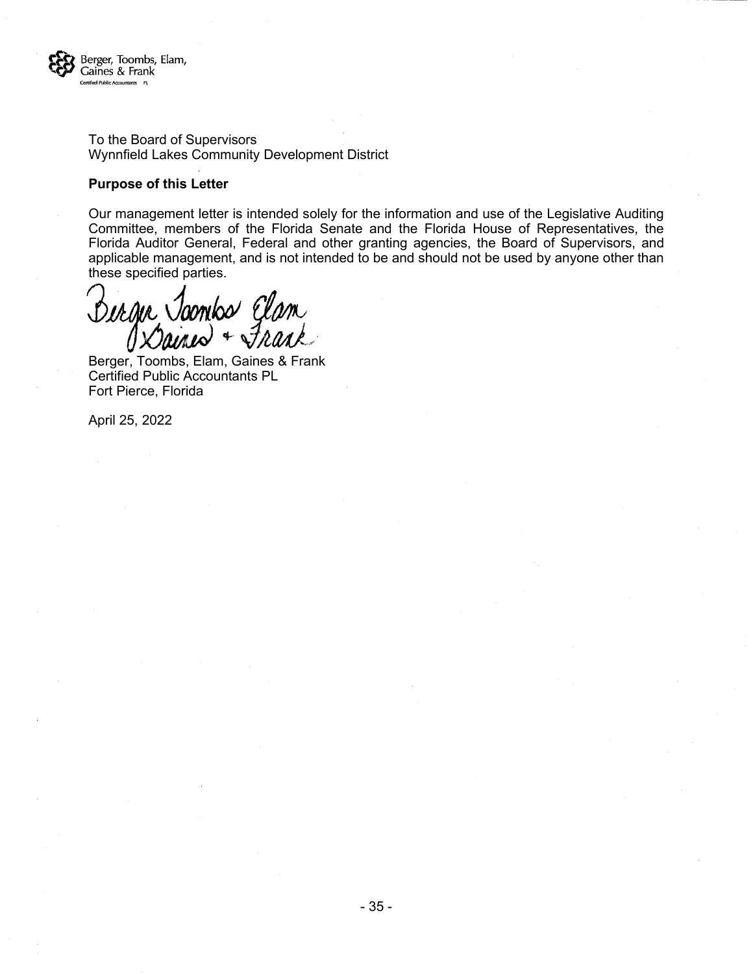

To the Board of Supervisors Wynnfield Lakes Community Development District

#### **Purpose of this Letter**

Our management letter is intended solely for the information and use of the Legislative Auditing Committee, members of the Florida Senate and the Florida House of Representatives, the Florida Auditor General, Federal and other granting agencies, the Board of Supervisors, and applicable management, and is not intended to be and should not be used by anyone other than these specified parties.

Derge Joonbo Elan + Frank

Berger, Toombs, Elam, Gaines & Frank Certified Public Accountants PL Fort Pierce, Florida

April 25, 2022